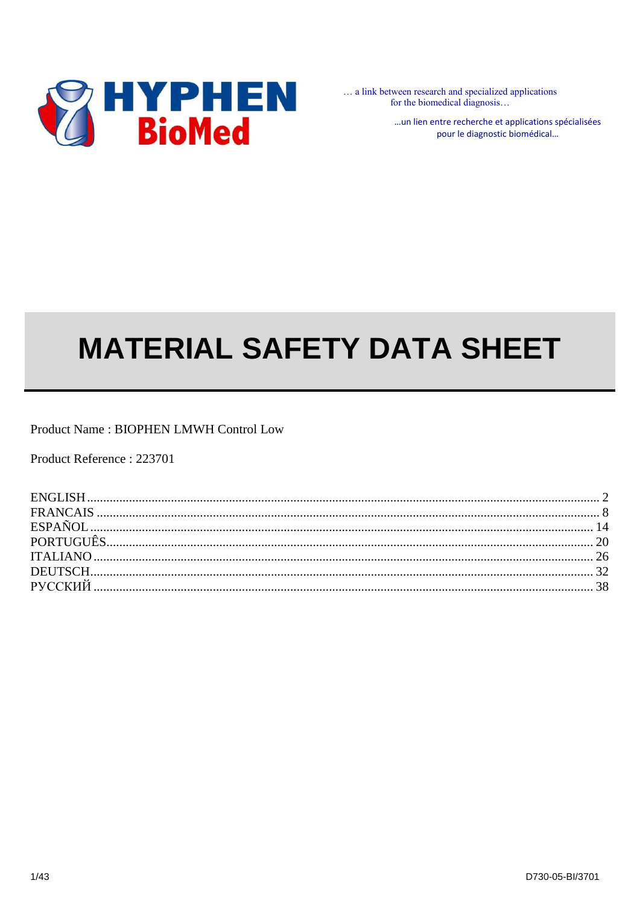

... a link between research and specialized applications for the biomedical diagnosis...

> ... un lien entre recherche et applications spécialisées pour le diagnostic biomédical...

# **MATERIAL SAFETY DATA SHEET**

Product Name: BIOPHEN LMWH Control Low

Product Reference: 223701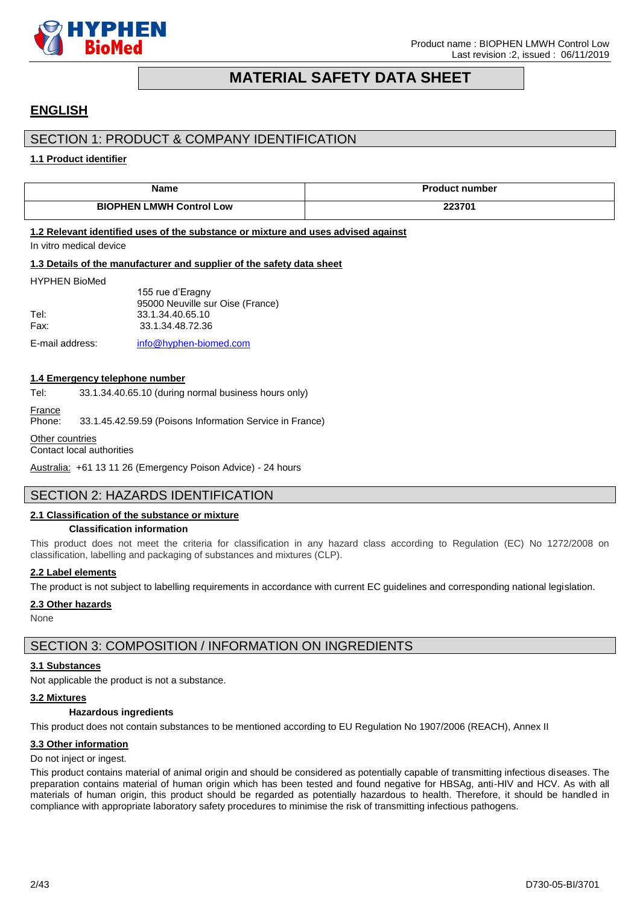

# **MATERIAL SAFETY DATA SHEET**

# <span id="page-1-0"></span>**ENGLISH**

# SECTION 1: PRODUCT & COMPANY IDENTIFICATION

#### **1.1 Product identifier**

| <b>Name</b>                                                                       | <b>Product number</b> |  |
|-----------------------------------------------------------------------------------|-----------------------|--|
| <b>BIOPHEN LMWH Control Low</b>                                                   | 223701                |  |
| 1.2 Relevant identified uses of the substance or mixture and uses advised against |                       |  |
| In vitro medical device                                                           |                       |  |
| 1.3 Details of the manufacturer and supplier of the safety data sheet             |                       |  |

#### HYPHEN BioMed

|      | 155 rue d'Eragny                 |
|------|----------------------------------|
|      | 95000 Neuville sur Oise (France) |
| Tel: | 33.1.34.40.65.10                 |
| Fax: | 33.1.34.48.72.36                 |
|      |                                  |

E-mail address: [info@hyphen-biomed.com](mailto:info@hyphen-biomed.com)

#### **1.4 Emergency telephone number**

Tel: 33.1.34.40.65.10 (during normal business hours only)

France

Phone: 33.1.45.42.59.59 (Poisons Information Service in France)

Other countries

Contact local authorities

Australia: +61 13 11 26 (Emergency Poison Advice) - 24 hours

# SECTION 2: HAZARDS IDENTIFICATION

#### **2.1 Classification of the substance or mixture**

#### **Classification information**

This product does not meet the criteria for classification in any hazard class according to Regulation (EC) No 1272/2008 on classification, labelling and packaging of substances and mixtures (CLP).

#### **2.2 Label elements**

The product is not subject to labelling requirements in accordance with current EC guidelines and corresponding national legislation.

#### **2.3 Other hazards**

None

# SECTION 3: COMPOSITION / INFORMATION ON INGREDIENTS

#### **3.1 Substances**

Not applicable the product is not a substance.

#### **3.2 Mixtures**

#### **Hazardous ingredients**

This product does not contain substances to be mentioned according to EU Regulation No 1907/2006 (REACH), Annex II

### **3.3 Other information**

#### Do not inject or ingest.

This product contains material of animal origin and should be considered as potentially capable of transmitting infectious diseases. The preparation contains material of human origin which has been tested and found negative for HBSAg, anti-HIV and HCV. As with all materials of human origin, this product should be regarded as potentially hazardous to health. Therefore, it should be handled in compliance with appropriate laboratory safety procedures to minimise the risk of transmitting infectious pathogens.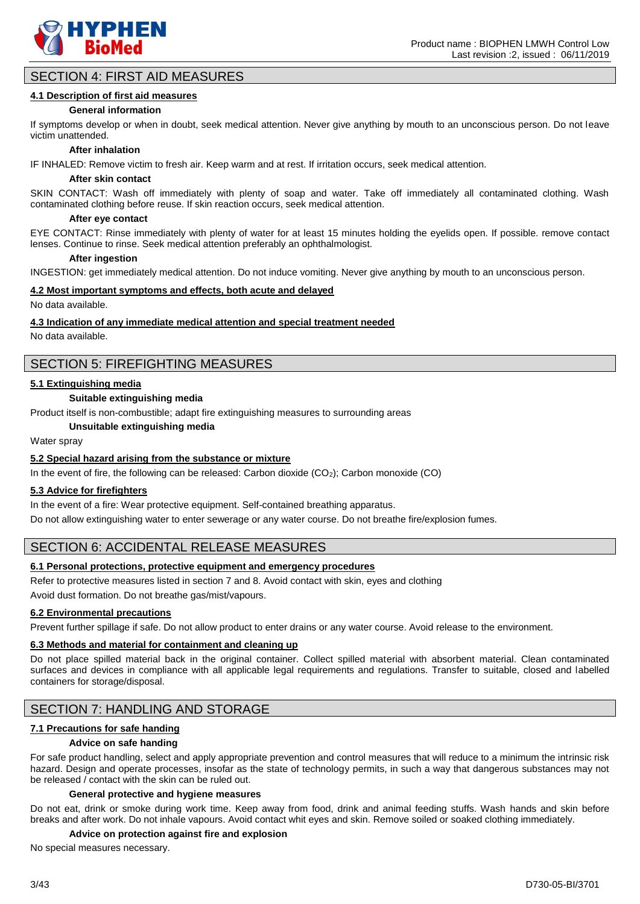

# SECTION 4: FIRST AID MEASURES

#### **4.1 Description of first aid measures**

#### **General information**

If symptoms develop or when in doubt, seek medical attention. Never give anything by mouth to an unconscious person. Do not leave victim unattended.

#### **After inhalation**

IF INHALED: Remove victim to fresh air. Keep warm and at rest. If irritation occurs, seek medical attention.

#### **After skin contact**

SKIN CONTACT: Wash off immediately with plenty of soap and water. Take off immediately all contaminated clothing. Wash contaminated clothing before reuse. If skin reaction occurs, seek medical attention.

#### **After eye contact**

EYE CONTACT: Rinse immediately with plenty of water for at least 15 minutes holding the eyelids open. If possible. remove contact lenses. Continue to rinse. Seek medical attention preferably an ophthalmologist.

#### **After ingestion**

INGESTION: get immediately medical attention. Do not induce vomiting. Never give anything by mouth to an unconscious person.

#### **4.2 Most important symptoms and effects, both acute and delayed**

No data available.

#### **4.3 Indication of any immediate medical attention and special treatment needed**

No data available.

# SECTION 5: FIREFIGHTING MEASURES

#### **5.1 Extinguishing media**

#### **Suitable extinguishing media**

Product itself is non-combustible; adapt fire extinguishing measures to surrounding areas

**Unsuitable extinguishing media**

Water spray

#### **5.2 Special hazard arising from the substance or mixture**

In the event of fire, the following can be released: Carbon dioxide (CO<sub>2</sub>); Carbon monoxide (CO)

#### **5.3 Advice for firefighters**

In the event of a fire: Wear protective equipment. Self-contained breathing apparatus.

Do not allow extinguishing water to enter sewerage or any water course. Do not breathe fire/explosion fumes.

# SECTION 6: ACCIDENTAL RELEASE MEASURES

#### **6.1 Personal protections, protective equipment and emergency procedures**

Refer to protective measures listed in section 7 and 8. Avoid contact with skin, eyes and clothing

Avoid dust formation. Do not breathe gas/mist/vapours.

#### **6.2 Environmental precautions**

Prevent further spillage if safe. Do not allow product to enter drains or any water course. Avoid release to the environment.

#### **6.3 Methods and material for containment and cleaning up**

Do not place spilled material back in the original container. Collect spilled material with absorbent material. Clean contaminated surfaces and devices in compliance with all applicable legal requirements and regulations. Transfer to suitable, closed and labelled containers for storage/disposal.

# SECTION 7: HANDLING AND STORAGE

#### **7.1 Precautions for safe handing**

#### **Advice on safe handing**

For safe product handling, select and apply appropriate prevention and control measures that will reduce to a minimum the intrinsic risk hazard. Design and operate processes, insofar as the state of technology permits, in such a way that dangerous substances may not be released / contact with the skin can be ruled out.

#### **General protective and hygiene measures**

Do not eat, drink or smoke during work time. Keep away from food, drink and animal feeding stuffs. Wash hands and skin before breaks and after work. Do not inhale vapours. Avoid contact whit eyes and skin. Remove soiled or soaked clothing immediately.

#### **Advice on protection against fire and explosion**

No special measures necessary.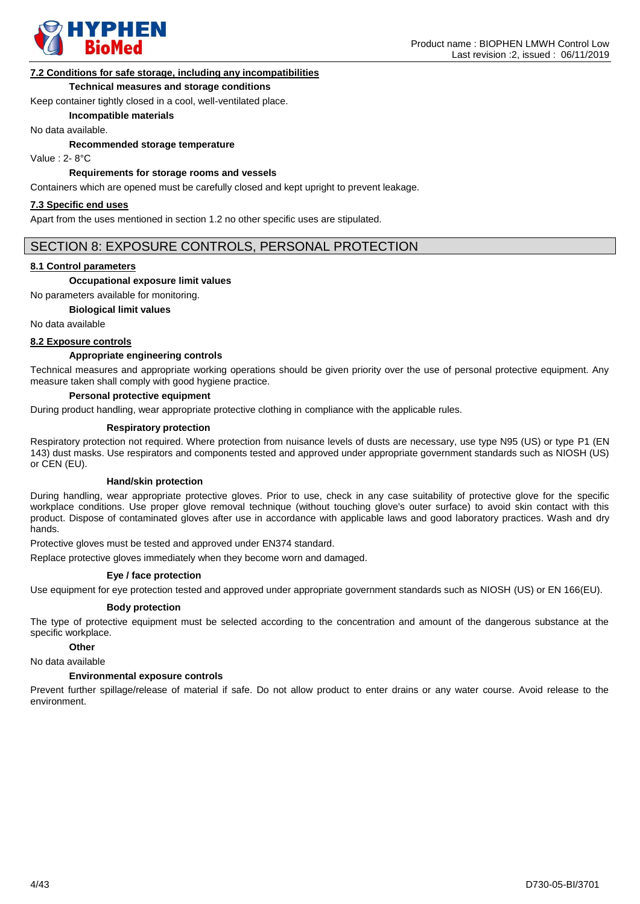

#### **7.2 Conditions for safe storage, including any incompatibilities**

#### **Technical measures and storage conditions**

Keep container tightly closed in a cool, well-ventilated place.

#### **Incompatible materials**

No data available.

**Recommended storage temperature**

Value : 2- 8°C

#### **Requirements for storage rooms and vessels**

Containers which are opened must be carefully closed and kept upright to prevent leakage.

#### **7.3 Specific end uses**

Apart from the uses mentioned in section 1.2 no other specific uses are stipulated.

# SECTION 8: EXPOSURE CONTROLS, PERSONAL PROTECTION

#### **8.1 Control parameters**

#### **Occupational exposure limit values**

No parameters available for monitoring.

#### **Biological limit values**

No data available

#### **8.2 Exposure controls**

#### **Appropriate engineering controls**

Technical measures and appropriate working operations should be given priority over the use of personal protective equipment. Any measure taken shall comply with good hygiene practice.

#### **Personal protective equipment**

During product handling, wear appropriate protective clothing in compliance with the applicable rules.

#### **Respiratory protection**

Respiratory protection not required. Where protection from nuisance levels of dusts are necessary, use type N95 (US) or type P1 (EN 143) dust masks. Use respirators and components tested and approved under appropriate government standards such as NIOSH (US) or CEN (EU).

#### **Hand/skin protection**

During handling, wear appropriate protective gloves. Prior to use, check in any case suitability of protective glove for the specific workplace conditions. Use proper glove removal technique (without touching glove's outer surface) to avoid skin contact with this product. Dispose of contaminated gloves after use in accordance with applicable laws and good laboratory practices. Wash and dry hands.

Protective gloves must be tested and approved under EN374 standard.

Replace protective gloves immediately when they become worn and damaged.

#### **Eye / face protection**

Use equipment for eye protection tested and approved under appropriate government standards such as NIOSH (US) or EN 166(EU).

#### **Body protection**

The type of protective equipment must be selected according to the concentration and amount of the dangerous substance at the specific workplace.

#### **Other**

No data available

#### **Environmental exposure controls**

Prevent further spillage/release of material if safe. Do not allow product to enter drains or any water course. Avoid release to the environment.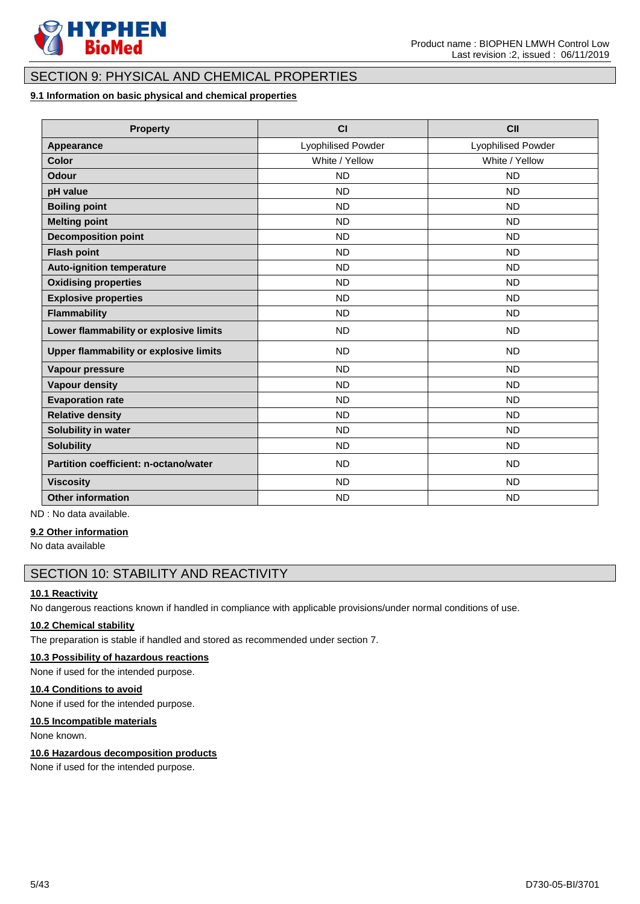

# SECTION 9: PHYSICAL AND CHEMICAL PROPERTIES

#### **9.1 Information on basic physical and chemical properties**

| <b>Property</b>                              | CI                        | CII                       |
|----------------------------------------------|---------------------------|---------------------------|
| Appearance                                   | <b>Lyophilised Powder</b> | <b>Lyophilised Powder</b> |
| <b>Color</b>                                 | White / Yellow            | White / Yellow            |
| Odour                                        | <b>ND</b>                 | <b>ND</b>                 |
| pH value                                     | <b>ND</b>                 | <b>ND</b>                 |
| <b>Boiling point</b>                         | <b>ND</b>                 | <b>ND</b>                 |
| <b>Melting point</b>                         | <b>ND</b>                 | <b>ND</b>                 |
| <b>Decomposition point</b>                   | <b>ND</b>                 | <b>ND</b>                 |
| <b>Flash point</b>                           | <b>ND</b>                 | <b>ND</b>                 |
| <b>Auto-ignition temperature</b>             | <b>ND</b>                 | <b>ND</b>                 |
| <b>Oxidising properties</b>                  | <b>ND</b>                 | <b>ND</b>                 |
| <b>Explosive properties</b>                  | <b>ND</b>                 | <b>ND</b>                 |
| <b>Flammability</b>                          | <b>ND</b>                 | <b>ND</b>                 |
| Lower flammability or explosive limits       | <b>ND</b>                 | <b>ND</b>                 |
| Upper flammability or explosive limits       | <b>ND</b>                 | <b>ND</b>                 |
| Vapour pressure                              | <b>ND</b>                 | <b>ND</b>                 |
| <b>Vapour density</b>                        | <b>ND</b>                 | <b>ND</b>                 |
| <b>Evaporation rate</b>                      | <b>ND</b>                 | <b>ND</b>                 |
| <b>Relative density</b>                      | <b>ND</b>                 | <b>ND</b>                 |
| Solubility in water                          | <b>ND</b>                 | <b>ND</b>                 |
| <b>Solubility</b>                            | <b>ND</b>                 | <b>ND</b>                 |
| <b>Partition coefficient: n-octano/water</b> | <b>ND</b>                 | <b>ND</b>                 |
| <b>Viscosity</b>                             | <b>ND</b>                 | <b>ND</b>                 |
| <b>Other information</b>                     | <b>ND</b>                 | <b>ND</b>                 |

ND : No data available.

### **9.2 Other information**

No data available

# SECTION 10: STABILITY AND REACTIVITY

### **10.1 Reactivity**

No dangerous reactions known if handled in compliance with applicable provisions/under normal conditions of use.

#### **10.2 Chemical stability**

The preparation is stable if handled and stored as recommended under section 7.

#### **10.3 Possibility of hazardous reactions**

None if used for the intended purpose.

## **10.4 Conditions to avoid**

None if used for the intended purpose.

#### **10.5 Incompatible materials**

None known.

#### **10.6 Hazardous decomposition products**

None if used for the intended purpose.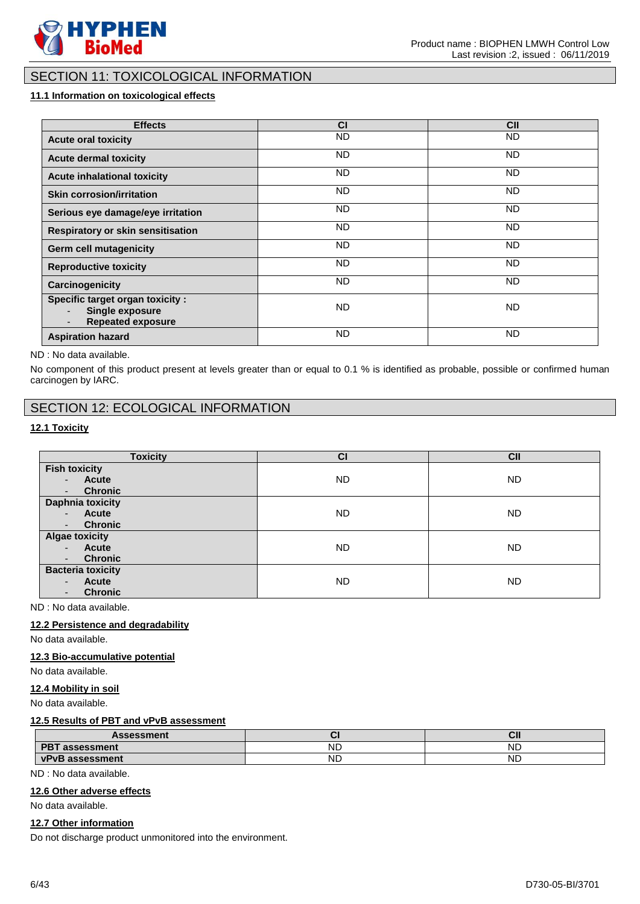

# SECTION 11: TOXICOLOGICAL INFORMATION

# **11.1 Information on toxicological effects**

| <b>Effects</b>                                                                        | <b>CI</b> | CII       |
|---------------------------------------------------------------------------------------|-----------|-----------|
| <b>Acute oral toxicity</b>                                                            | <b>ND</b> | ND.       |
| <b>Acute dermal toxicity</b>                                                          | <b>ND</b> | ND.       |
| <b>Acute inhalational toxicity</b>                                                    | <b>ND</b> | ND.       |
| <b>Skin corrosion/irritation</b>                                                      | <b>ND</b> | ND.       |
| Serious eye damage/eye irritation                                                     | <b>ND</b> | ND.       |
| Respiratory or skin sensitisation                                                     | <b>ND</b> | ND.       |
| <b>Germ cell mutagenicity</b>                                                         | <b>ND</b> | ND.       |
| <b>Reproductive toxicity</b>                                                          | <b>ND</b> | ND.       |
| Carcinogenicity                                                                       | <b>ND</b> | ND.       |
| <b>Specific target organ toxicity:</b><br>Single exposure<br><b>Repeated exposure</b> | <b>ND</b> | ND.       |
| <b>Aspiration hazard</b>                                                              | <b>ND</b> | <b>ND</b> |

ND : No data available.

No component of this product present at levels greater than or equal to 0.1 % is identified as probable, possible or confirmed human carcinogen by IARC.

# SECTION 12: ECOLOGICAL INFORMATION

# **12.1 Toxicity**

| <b>Toxicity</b>                            | C <sub>1</sub> | <b>CII</b> |
|--------------------------------------------|----------------|------------|
| <b>Fish toxicity</b>                       |                |            |
| Acute<br>$\sim$                            | ND             | ND.        |
| <b>Chronic</b>                             |                |            |
| <b>Daphnia toxicity</b>                    |                |            |
| Acute<br>$\overline{\phantom{0}}$          | <b>ND</b>      | ND.        |
| <b>Chronic</b><br>$\overline{\phantom{a}}$ |                |            |
| <b>Algae toxicity</b>                      |                |            |
| Acute<br>$\sim$                            | <b>ND</b>      | ND.        |
| <b>Chronic</b><br>$\blacksquare$           |                |            |
| <b>Bacteria toxicity</b>                   |                |            |
| <b>Acute</b><br>$\overline{a}$             | <b>ND</b>      | ND.        |
| <b>Chronic</b><br>$\overline{\phantom{0}}$ |                |            |

ND : No data available.

#### **12.2 Persistence and degradability**

No data available.

#### **12.3 Bio-accumulative potential**

No data available.

#### **12.4 Mobility in soil**

No data available.

#### **12.5 Results of PBT and vPvB assessment**

| <b>Assessment</b>        |           | $\sim$<br>vı |
|--------------------------|-----------|--------------|
| <b>PBT</b><br>assessment | <b>NL</b> | <b>NL</b>    |
| <b>vPvB</b> assessment   | <b>ND</b> | <b>ND</b>    |

ND : No data available.

#### **12.6 Other adverse effects**

No data available.

#### **12.7 Other information**

Do not discharge product unmonitored into the environment.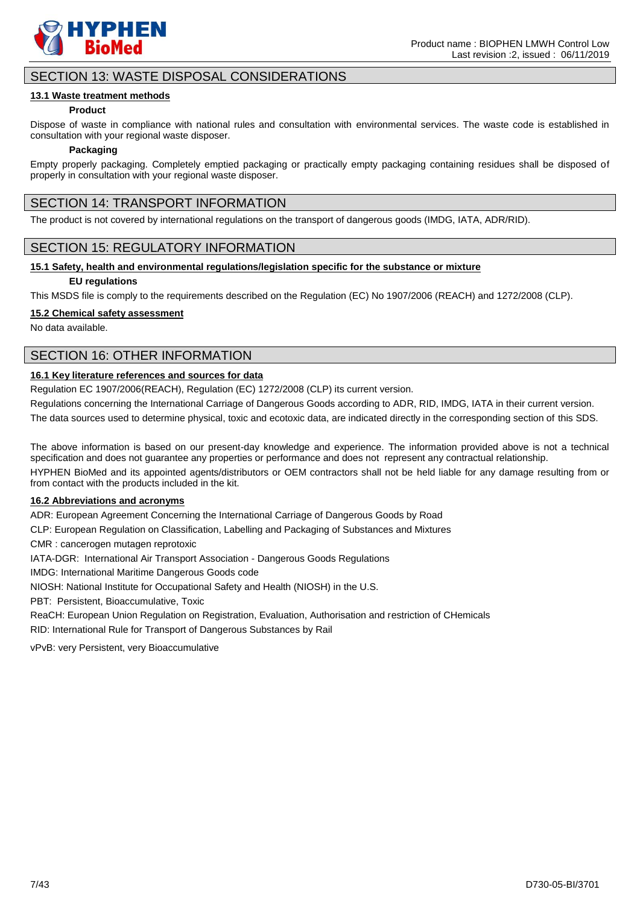

# SECTION 13: WASTE DISPOSAL CONSIDERATIONS

#### **13.1 Waste treatment methods**

#### **Product**

Dispose of waste in compliance with national rules and consultation with environmental services. The waste code is established in consultation with your regional waste disposer.

#### **Packaging**

Empty properly packaging. Completely emptied packaging or practically empty packaging containing residues shall be disposed of properly in consultation with your regional waste disposer.

# SECTION 14: TRANSPORT INFORMATION

The product is not covered by international regulations on the transport of dangerous goods (IMDG, IATA, ADR/RID).

# SECTION 15: REGULATORY INFORMATION

#### **15.1 Safety, health and environmental regulations/legislation specific for the substance or mixture**

#### **EU regulations**

This MSDS file is comply to the requirements described on the Regulation (EC) No 1907/2006 (REACH) and 1272/2008 (CLP).

#### **15.2 Chemical safety assessment**

No data available.

# SECTION 16: OTHER INFORMATION

#### **16.1 Key literature references and sources for data**

Regulation EC 1907/2006(REACH), Regulation (EC) 1272/2008 (CLP) its current version.

Regulations concerning the International Carriage of Dangerous Goods according to ADR, RID, IMDG, IATA in their current version.

The data sources used to determine physical, toxic and ecotoxic data, are indicated directly in the corresponding section of this SDS.

The above information is based on our present-day knowledge and experience. The information provided above is not a technical specification and does not guarantee any properties or performance and does not represent any contractual relationship.

HYPHEN BioMed and its appointed agents/distributors or OEM contractors shall not be held liable for any damage resulting from or from contact with the products included in the kit.

#### **16.2 Abbreviations and acronyms**

ADR: European Agreement Concerning the International Carriage of Dangerous Goods by Road

CLP: European Regulation on Classification, Labelling and Packaging of Substances and Mixtures

CMR : cancerogen mutagen reprotoxic

IATA-DGR: International Air Transport Association - Dangerous Goods Regulations

IMDG: International Maritime Dangerous Goods code

NIOSH: National Institute for Occupational Safety and Health (NIOSH) in the U.S.

PBT: Persistent, Bioaccumulative, Toxic

ReaCH: European Union Regulation on Registration, Evaluation, Authorisation and restriction of CHemicals RID: International Rule for Transport of Dangerous Substances by Rail

vPvB: very Persistent, very Bioaccumulative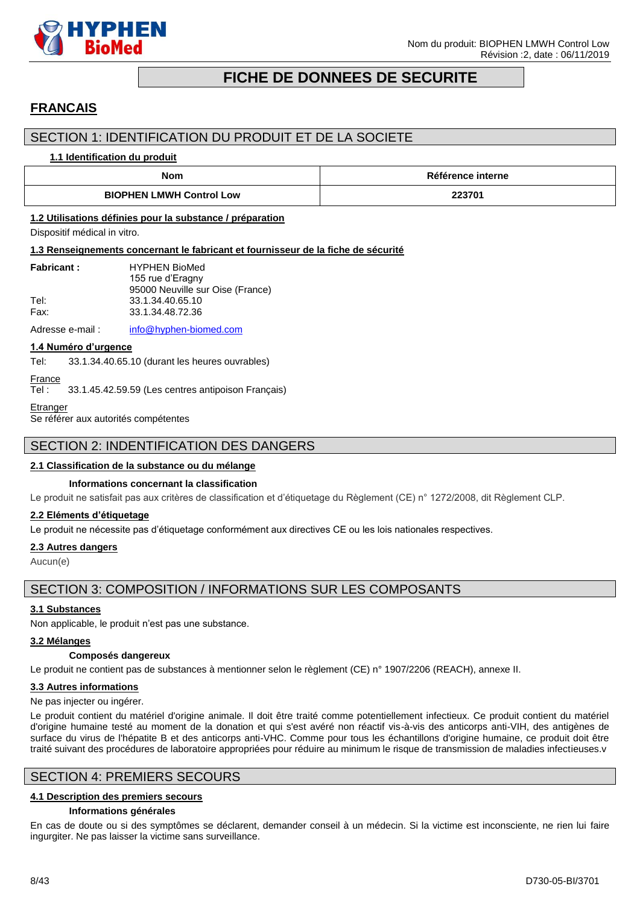

# **FICHE DE DONNEES DE SECURITE**

# <span id="page-7-0"></span>**FRANCAIS**

# SECTION 1: IDENTIFICATION DU PRODUIT ET DE LA SOCIETE

#### **1.1 Identification du produit**

| Nom                             | Référence interne |  |
|---------------------------------|-------------------|--|
| <b>BIOPHEN LMWH Control Low</b> |                   |  |

#### **1.2 Utilisations définies pour la substance / préparation**

Dispositif médical in vitro.

#### **1.3 Renseignements concernant le fabricant et fournisseur de la fiche de sécurité**

| <b>Fabricant:</b> | <b>HYPHEN BioMed</b>             |
|-------------------|----------------------------------|
|                   | 155 rue d'Eragny                 |
|                   | 95000 Neuville sur Oise (France) |
| Tel:              | 33.1.34.40.65.10                 |
| Fax:              | 33.1.34.48.72.36                 |
|                   |                                  |

Adresse e-mail : [info@hyphen-biomed.com](mailto:info@hyphen-biomed.com)

#### **1.4 Numéro d'urgence**

Tel: 33.1.34.40.65.10 (durant les heures ouvrables)

# **France**

Tel : 33.1.45.42.59.59 (Les centres antipoison Français)

### **Etranger**

Se référer aux autorités compétentes

### SECTION 2: INDENTIFICATION DES DANGERS

#### **2.1 Classification de la substance ou du mélange**

#### **Informations concernant la classification**

Le produit ne satisfait pas aux critères de classification et d'étiquetage du Règlement (CE) n° 1272/2008, dit Règlement CLP.

#### **2.2 Eléments d'étiquetage**

Le produit ne nécessite pas d'étiquetage conformément aux directives CE ou les lois nationales respectives.

#### **2.3 Autres dangers**

Aucun(e)

# SECTION 3: COMPOSITION / INFORMATIONS SUR LES COMPOSANTS

#### **3.1 Substances**

Non applicable, le produit n'est pas une substance.

#### **3.2 Mélanges**

#### **Composés dangereux**

Le produit ne contient pas de substances à mentionner selon le règlement (CE) n° 1907/2206 (REACH), annexe II.

#### **3.3 Autres informations**

Ne pas injecter ou ingérer.

Le produit contient du matériel d'origine animale. Il doit être traité comme potentiellement infectieux. Ce produit contient du matériel d'origine humaine testé au moment de la donation et qui s'est avéré non réactif vis-à-vis des anticorps anti-VIH, des antigènes de surface du virus de l'hépatite B et des anticorps anti-VHC. Comme pour tous les échantillons d'origine humaine, ce produit doit être traité suivant des procédures de laboratoire appropriées pour réduire au minimum le risque de transmission de maladies infectieuses.v

# SECTION 4: PREMIERS SECOURS

#### **4.1 Description des premiers secours**

#### **Informations générales**

En cas de doute ou si des symptômes se déclarent, demander conseil à un médecin. Si la victime est inconsciente, ne rien lui faire ingurgiter. Ne pas laisser la victime sans surveillance.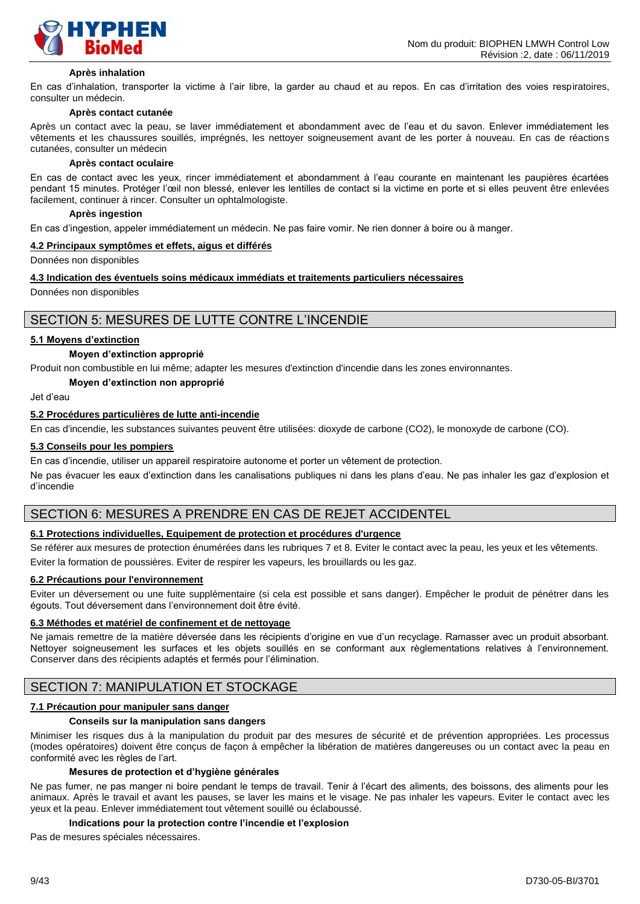

#### **Après inhalation**

En cas d'inhalation, transporter la victime à l'air libre, la garder au chaud et au repos. En cas d'irritation des voies respiratoires, consulter un médecin.

#### **Après contact cutanée**

Après un contact avec la peau, se laver immédiatement et abondamment avec de l'eau et du savon. Enlever immédiatement les vêtements et les chaussures souillés, imprégnés, les nettoyer soigneusement avant de les porter à nouveau. En cas de réactions cutanées, consulter un médecin

#### **Après contact oculaire**

En cas de contact avec les yeux, rincer immédiatement et abondamment à l'eau courante en maintenant les paupières écartées pendant 15 minutes. Protéger l'œil non blessé, enlever les lentilles de contact si la victime en porte et si elles peuvent être enlevées facilement, continuer à rincer. Consulter un ophtalmologiste.

#### **Après ingestion**

En cas d'ingestion, appeler immédiatement un médecin. Ne pas faire vomir. Ne rien donner à boire ou à manger.

#### **4.2 Principaux symptômes et effets, aigus et différés**

Données non disponibles

#### **4.3 Indication des éventuels soins médicaux immédiats et traitements particuliers nécessaires**

Données non disponibles

### SECTION 5: MESURES DE LUTTE CONTRE L'INCENDIE

#### **5.1 Moyens d'extinction**

#### **Moyen d'extinction approprié**

Produit non combustible en lui même; adapter les mesures d'extinction d'incendie dans les zones environnantes.

#### **Moyen d'extinction non approprié**

Jet d'eau

#### **5.2 Procédures particulières de lutte anti-incendie**

En cas d'incendie, les substances suivantes peuvent être utilisées: dioxyde de carbone (CO2), le monoxyde de carbone (CO).

#### **5.3 Conseils pour les pompiers**

En cas d'incendie, utiliser un appareil respiratoire autonome et porter un vêtement de protection.

Ne pas évacuer les eaux d'extinction dans les canalisations publiques ni dans les plans d'eau. Ne pas inhaler les gaz d'explosion et d'incendie

# SECTION 6: MESURES A PRENDRE EN CAS DE REJET ACCIDENTEL

#### **6.1 Protections individuelles, Equipement de protection et procédures d'urgence**

Se référer aux mesures de protection énumérées dans les rubriques 7 et 8. Eviter le contact avec la peau, les yeux et les vêtements. Eviter la formation de poussières. Eviter de respirer les vapeurs, les brouillards ou les gaz.

#### **6.2 Précautions pour l'environnement**

Eviter un déversement ou une fuite supplémentaire (si cela est possible et sans danger). Empêcher le produit de pénétrer dans les égouts. Tout déversement dans l'environnement doit être évité.

#### **6.3 Méthodes et matériel de confinement et de nettoyage**

Ne jamais remettre de la matière déversée dans les récipients d'origine en vue d'un recyclage. Ramasser avec un produit absorbant. Nettoyer soigneusement les surfaces et les objets souillés en se conformant aux règlementations relatives à l'environnement. Conserver dans des récipients adaptés et fermés pour l'élimination.

# SECTION 7: MANIPULATION ET STOCKAGE

#### **7.1 Précaution pour manipuler sans danger**

#### **Conseils sur la manipulation sans dangers**

Minimiser les risques dus à la manipulation du produit par des mesures de sécurité et de prévention appropriées. Les processus (modes opératoires) doivent être conçus de façon à empêcher la libération de matières dangereuses ou un contact avec la peau en conformité avec les règles de l'art.

#### **Mesures de protection et d'hygiène générales**

Ne pas fumer, ne pas manger ni boire pendant le temps de travail. Tenir à l'écart des aliments, des boissons, des aliments pour les animaux. Après le travail et avant les pauses, se laver les mains et le visage. Ne pas inhaler les vapeurs. Eviter le contact avec les yeux et la peau. Enlever immédiatement tout vêtement souillé ou éclaboussé.

#### **Indications pour la protection contre l'incendie et l'explosion**

Pas de mesures spéciales nécessaires.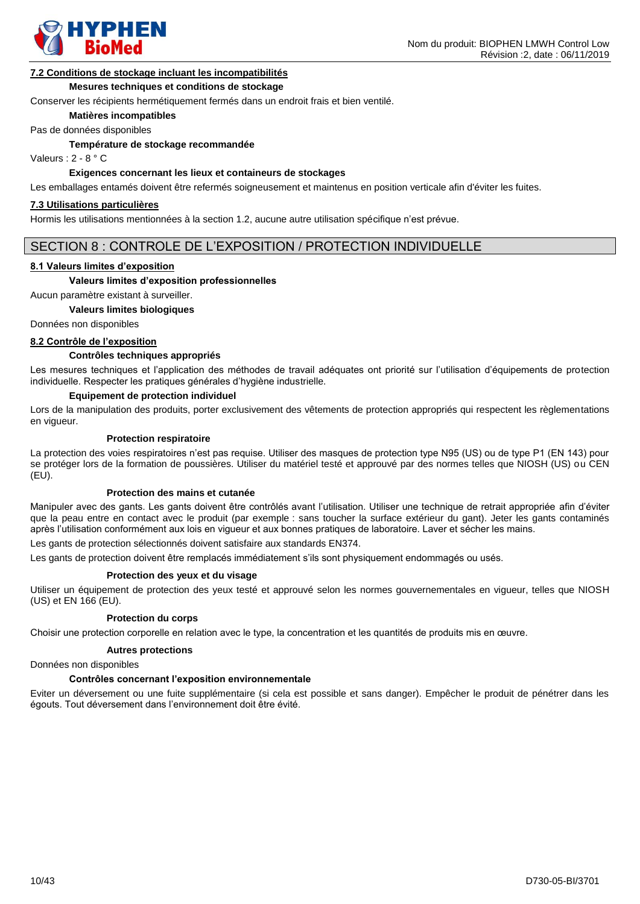

#### **7.2 Conditions de stockage incluant les incompatibilités**

#### **Mesures techniques et conditions de stockage**

Conserver les récipients hermétiquement fermés dans un endroit frais et bien ventilé.

**Matières incompatibles**

Pas de données disponibles

**Température de stockage recommandée**

Valeurs : 2 - 8 ° C

#### **Exigences concernant les lieux et containeurs de stockages**

Les emballages entamés doivent être refermés soigneusement et maintenus en position verticale afin d'éviter les fuites.

#### **7.3 Utilisations particulières**

Hormis les utilisations mentionnées à la section 1.2, aucune autre utilisation spécifique n'est prévue.

#### SECTION 8 : CONTROLE DE L'EXPOSITION / PROTECTION INDIVIDUELLE

#### **8.1 Valeurs limites d'exposition**

#### **Valeurs limites d'exposition professionnelles**

Aucun paramètre existant à surveiller.

#### **Valeurs limites biologiques**

Données non disponibles

#### **8.2 Contrôle de l'exposition**

#### **Contrôles techniques appropriés**

Les mesures techniques et l'application des méthodes de travail adéquates ont priorité sur l'utilisation d'équipements de protection individuelle. Respecter les pratiques générales d'hygiène industrielle.

#### **Equipement de protection individuel**

Lors de la manipulation des produits, porter exclusivement des vêtements de protection appropriés qui respectent les règlementations en vigueur.

#### **Protection respiratoire**

La protection des voies respiratoires n'est pas requise. Utiliser des masques de protection type N95 (US) ou de type P1 (EN 143) pour se protéger lors de la formation de poussières. Utiliser du matériel testé et approuvé par des normes telles que NIOSH (US) ou CEN (EU).

#### **Protection des mains et cutanée**

Manipuler avec des gants. Les gants doivent être contrôlés avant l'utilisation. Utiliser une technique de retrait appropriée afin d'éviter que la peau entre en contact avec le produit (par exemple : sans toucher la surface extérieur du gant). Jeter les gants contaminés après l'utilisation conformément aux lois en vigueur et aux bonnes pratiques de laboratoire. Laver et sécher les mains.

Les gants de protection sélectionnés doivent satisfaire aux standards EN374.

Les gants de protection doivent être remplacés immédiatement s'ils sont physiquement endommagés ou usés.

#### **Protection des yeux et du visage**

Utiliser un équipement de protection des yeux testé et approuvé selon les normes gouvernementales en vigueur, telles que NIOSH (US) et EN 166 (EU).

#### **Protection du corps**

Choisir une protection corporelle en relation avec le type, la concentration et les quantités de produits mis en œuvre.

#### **Autres protections**

Données non disponibles

#### **Contrôles concernant l'exposition environnementale**

Eviter un déversement ou une fuite supplémentaire (si cela est possible et sans danger). Empêcher le produit de pénétrer dans les égouts. Tout déversement dans l'environnement doit être évité.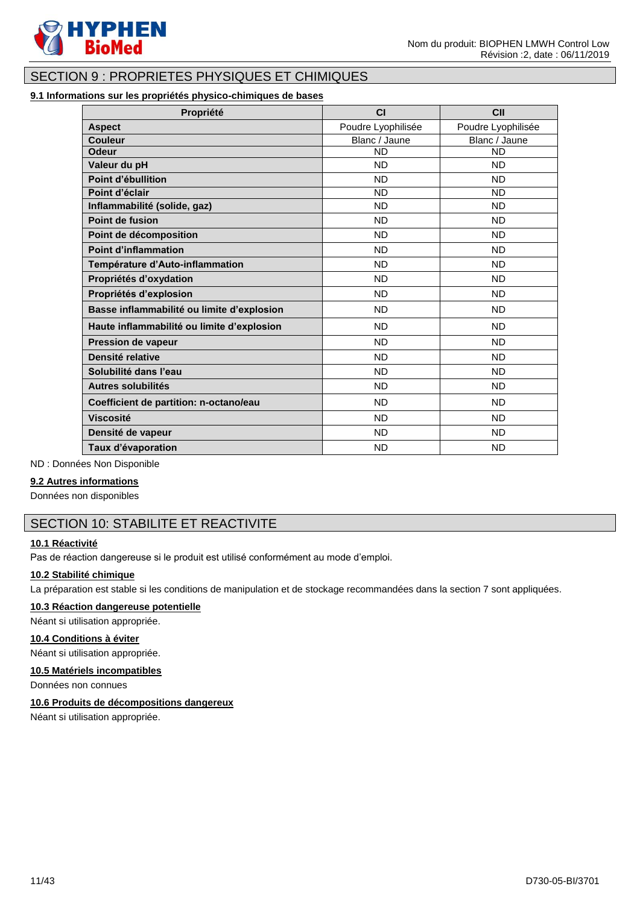

# SECTION 9 : PROPRIETES PHYSIQUES ET CHIMIQUES

### **9.1 Informations sur les propriétés physico-chimiques de bases**

| Propriété                                  | C <sub>1</sub>     | CII                |
|--------------------------------------------|--------------------|--------------------|
| <b>Aspect</b>                              | Poudre Lyophilisée | Poudre Lyophilisée |
| <b>Couleur</b>                             | Blanc / Jaune      | Blanc / Jaune      |
| <b>Odeur</b>                               | <b>ND</b>          | <b>ND</b>          |
| Valeur du pH                               | <b>ND</b>          | <b>ND</b>          |
| Point d'ébullition                         | <b>ND</b>          | <b>ND</b>          |
| Point d'éclair                             | <b>ND</b>          | <b>ND</b>          |
| Inflammabilité (solide, gaz)               | <b>ND</b>          | <b>ND</b>          |
| Point de fusion                            | <b>ND</b>          | <b>ND</b>          |
| Point de décomposition                     | <b>ND</b>          | <b>ND</b>          |
| <b>Point d'inflammation</b>                | <b>ND</b>          | <b>ND</b>          |
| Température d'Auto-inflammation            | <b>ND</b>          | <b>ND</b>          |
| Propriétés d'oxydation                     | <b>ND</b>          | <b>ND</b>          |
| Propriétés d'explosion                     | <b>ND</b>          | <b>ND</b>          |
| Basse inflammabilité ou limite d'explosion | <b>ND</b>          | <b>ND</b>          |
| Haute inflammabilité ou limite d'explosion | <b>ND</b>          | <b>ND</b>          |
| <b>Pression de vapeur</b>                  | <b>ND</b>          | <b>ND</b>          |
| Densité relative                           | <b>ND</b>          | <b>ND</b>          |
| Solubilité dans l'eau                      | <b>ND</b>          | <b>ND</b>          |
| Autres solubilités                         | <b>ND</b>          | <b>ND</b>          |
| Coefficient de partition: n-octano/eau     | <b>ND</b>          | <b>ND</b>          |
| <b>Viscosité</b>                           | <b>ND</b>          | <b>ND</b>          |
| Densité de vapeur                          | <b>ND</b>          | <b>ND</b>          |
| Taux d'évaporation                         | <b>ND</b>          | <b>ND</b>          |

ND : Données Non Disponible

### **9.2 Autres informations**

Données non disponibles

# SECTION 10: STABILITE ET REACTIVITE

## **10.1 Réactivité**

Pas de réaction dangereuse si le produit est utilisé conformément au mode d'emploi.

#### **10.2 Stabilité chimique**

La préparation est stable si les conditions de manipulation et de stockage recommandées dans la section 7 sont appliquées.

# **10.3 Réaction dangereuse potentielle**

Néant si utilisation appropriée.

#### **10.4 Conditions à éviter**

Néant si utilisation appropriée.

### **10.5 Matériels incompatibles**

Données non connues

#### **10.6 Produits de décompositions dangereux**

Néant si utilisation appropriée.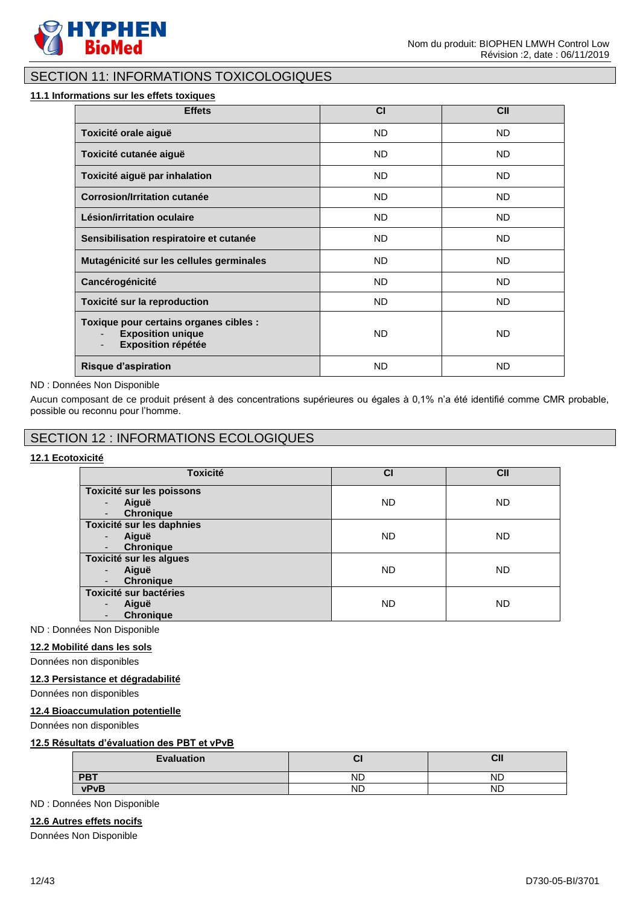

# SECTION 11: INFORMATIONS TOXICOLOGIQUES

#### **11.1 Informations sur les effets toxiques**

| <b>Effets</b>                                                                                   | <b>CI</b> | <b>CII</b> |
|-------------------------------------------------------------------------------------------------|-----------|------------|
| Toxicité orale aiguë                                                                            | ND.       | ND.        |
| Toxicité cutanée aiguë                                                                          | <b>ND</b> | <b>ND</b>  |
| Toxicité aiguë par inhalation                                                                   | <b>ND</b> | <b>ND</b>  |
| Corrosion/Irritation cutanée                                                                    | <b>ND</b> | ND.        |
| Lésion/irritation oculaire                                                                      | <b>ND</b> | ND.        |
| Sensibilisation respiratoire et cutanée                                                         | <b>ND</b> | <b>ND</b>  |
| Mutagénicité sur les cellules germinales                                                        | <b>ND</b> | <b>ND</b>  |
| Cancérogénicité                                                                                 | <b>ND</b> | <b>ND</b>  |
| Toxicité sur la reproduction                                                                    | ND.       | ND.        |
| Toxique pour certains organes cibles :<br><b>Exposition unique</b><br><b>Exposition répétée</b> | <b>ND</b> | <b>ND</b>  |
| <b>Risque d'aspiration</b>                                                                      | <b>ND</b> | <b>ND</b>  |

#### ND : Données Non Disponible

Aucun composant de ce produit présent à des concentrations supérieures ou égales à 0,1% n'a été identifié comme CMR probable, possible ou reconnu pour l'homme.

# SECTION 12 : INFORMATIONS ECOLOGIQUES

# **12.1 Ecotoxicité**

| <b>Toxicité</b>                                                               | CI        | CII       |
|-------------------------------------------------------------------------------|-----------|-----------|
| Toxicité sur les poissons<br>Aiguë<br>-<br><b>Chronique</b><br>-              | <b>ND</b> | <b>ND</b> |
| Toxicité sur les daphnies<br>Aiguë<br>$\blacksquare$<br><b>Chronique</b><br>- | <b>ND</b> | ND.       |
| Toxicité sur les algues<br>Aiguë<br>$\blacksquare$<br><b>Chronique</b><br>۰.  | <b>ND</b> | ND.       |
| <b>Toxicité sur bactéries</b><br>Aiguë<br><b>Chronique</b>                    | <b>ND</b> | ND.       |

ND : Données Non Disponible

#### **12.2 Mobilité dans les sols**

Données non disponibles

#### **12.3 Persistance et dégradabilité**

Données non disponibles

#### **12.4 Bioaccumulation potentielle**

Données non disponibles

#### **12.5 Résultats d'évaluation des PBT et vPvB**

| <b>Evaluation</b> | ◡         | <b>CII</b> |
|-------------------|-----------|------------|
| <b>PBT</b>        | <b>ND</b> | ND         |
| vPvB              | ND        | ND         |

ND : Données Non Disponible

## **12.6 Autres effets nocifs**

Données Non Disponible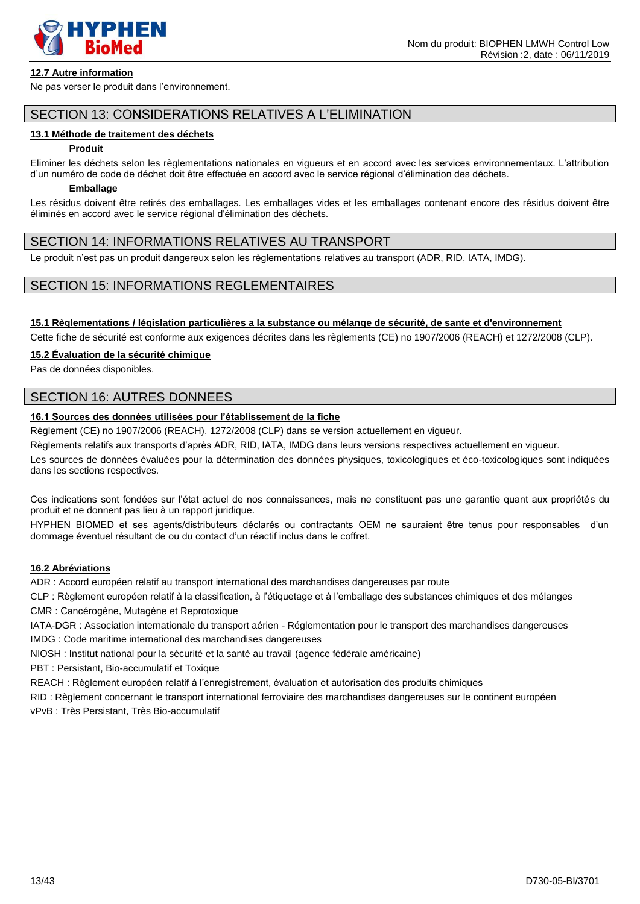

#### **12.7 Autre information**

Ne pas verser le produit dans l'environnement.

# SECTION 13: CONSIDERATIONS RELATIVES A L'ELIMINATION

#### **13.1 Méthode de traitement des déchets**

#### **Produit**

Eliminer les déchets selon les règlementations nationales en vigueurs et en accord avec les services environnementaux. L'attribution d'un numéro de code de déchet doit être effectuée en accord avec le service régional d'élimination des déchets.

#### **Emballage**

Les résidus doivent être retirés des emballages. Les emballages vides et les emballages contenant encore des résidus doivent être éliminés en accord avec le service régional d'élimination des déchets.

### SECTION 14: INFORMATIONS RELATIVES AU TRANSPORT

Le produit n'est pas un produit dangereux selon les règlementations relatives au transport (ADR, RID, IATA, IMDG).

# SECTION 15: INFORMATIONS REGLEMENTAIRES

### **15.1 Règlementations / législation particulières a la substance ou mélange de sécurité, de sante et d'environnement**

Cette fiche de sécurité est conforme aux exigences décrites dans les règlements (CE) no 1907/2006 (REACH) et 1272/2008 (CLP).

#### **15.2 Évaluation de la sécurité chimique**

Pas de données disponibles.

# SECTION 16: AUTRES DONNEES

# **16.1 Sources des données utilisées pour l'établissement de la fiche**

Règlement (CE) no 1907/2006 (REACH), 1272/2008 (CLP) dans se version actuellement en vigueur.

Règlements relatifs aux transports d'après ADR, RID, IATA, IMDG dans leurs versions respectives actuellement en vigueur.

Les sources de données évaluées pour la détermination des données physiques, toxicologiques et éco-toxicologiques sont indiquées dans les sections respectives.

Ces indications sont fondées sur l'état actuel de nos connaissances, mais ne constituent pas une garantie quant aux propriétés du produit et ne donnent pas lieu à un rapport juridique.

HYPHEN BIOMED et ses agents/distributeurs déclarés ou contractants OEM ne sauraient être tenus pour responsables d'un dommage éventuel résultant de ou du contact d'un réactif inclus dans le coffret.

#### **16.2 Abréviations**

ADR : Accord européen relatif au transport international des marchandises dangereuses par route

CLP : Règlement européen relatif à la classification, à l'étiquetage et à l'emballage des substances chimiques et des mélanges CMR : Cancérogène, Mutagène et Reprotoxique

IATA-DGR : Association internationale du transport aérien - Réglementation pour le transport des marchandises dangereuses

IMDG : Code maritime international des marchandises dangereuses

NIOSH : Institut national pour la sécurité et la santé au travail (agence fédérale américaine)

PBT : Persistant, Bio-accumulatif et Toxique

REACH : Règlement européen relatif à l'enregistrement, évaluation et autorisation des produits chimiques

RID : Règlement concernant le transport international ferroviaire des marchandises dangereuses sur le continent européen

vPvB : Très Persistant, Très Bio-accumulatif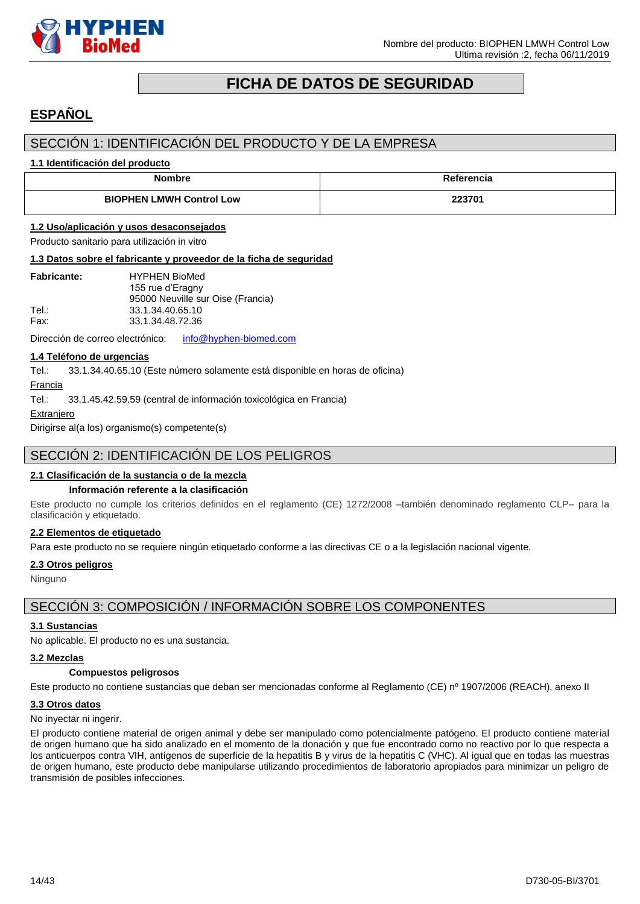

# **FICHA DE DATOS DE SEGURIDAD**

# <span id="page-13-0"></span>**ESPAÑOL**

# SECCIÓN 1: IDENTIFICACIÓN DEL PRODUCTO Y DE LA EMPRESA

#### **1.1 Identificación del producto**

| <b>Nombre</b>                   | Referencia |
|---------------------------------|------------|
| <b>BIOPHEN LMWH Control Low</b> | 223701     |

### **1.2 Uso/aplicación y usos desaconsejados**

Producto sanitario para utilización in vitro

#### **1.3 Datos sobre el fabricante y proveedor de la ficha de seguridad**

| <b>Fabricante:</b> | <b>HYPHEN BioMed</b>              |
|--------------------|-----------------------------------|
|                    | 155 rue d'Eragny                  |
|                    | 95000 Neuville sur Oise (Francia) |
| Tel∴               | 33.1.34.40.65.10                  |
| Fax:               | 33.1.34.48.72.36                  |

Dirección de correo electrónico: [info@hyphen-biomed.com](mailto:info@hyphen-biomed.com)

#### **1.4 Teléfono de urgencias**

Tel.: 33.1.34.40.65.10 (Este número solamente está disponible en horas de oficina)

Francia

Tel.: 33.1.45.42.59.59 (central de información toxicológica en Francia)

**Extranjero** 

Dirigirse al(a los) organismo(s) competente(s)

# SECCIÓN 2: IDENTIFICACIÓN DE LOS PELIGROS

#### **2.1 Clasificación de la sustancia o de la mezcla**

#### **Información referente a la clasificación**

Este producto no cumple los criterios definidos en el reglamento (CE) 1272/2008 –también denominado reglamento CLP– para la clasificación y etiquetado.

#### **2.2 Elementos de etiquetado**

Para este producto no se requiere ningún etiquetado conforme a las directivas CE o a la legislación nacional vigente.

#### **2.3 Otros peligros**

Ninguno

# SECCIÓN 3: COMPOSICIÓN / INFORMACIÓN SOBRE LOS COMPONENTES

#### **3.1 Sustancias**

No aplicable. El producto no es una sustancia.

#### **3.2 Mezclas**

#### **Compuestos peligrosos**

Este producto no contiene sustancias que deban ser mencionadas conforme al Reglamento (CE) nº 1907/2006 (REACH), anexo II

#### **3.3 Otros datos**

No inyectar ni ingerir.

El producto contiene material de origen animal y debe ser manipulado como potencialmente patógeno. El producto contiene material de origen humano que ha sido analizado en el momento de la donación y que fue encontrado como no reactivo por lo que respecta a los anticuerpos contra VIH, antígenos de superficie de la hepatitis B y virus de la hepatitis C (VHC). Al igual que en todas las muestras de origen humano, este producto debe manipularse utilizando procedimientos de laboratorio apropiados para minimizar un peligro de transmisión de posibles infecciones.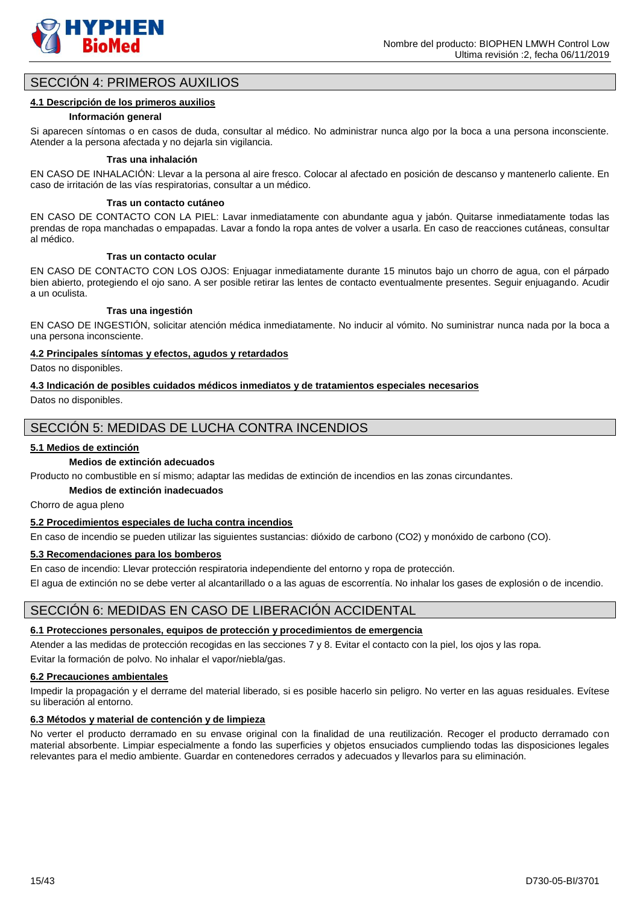

# SECCIÓN 4: PRIMEROS AUXILIOS

#### **4.1 Descripción de los primeros auxilios**

#### **Información general**

Si aparecen síntomas o en casos de duda, consultar al médico. No administrar nunca algo por la boca a una persona inconsciente. Atender a la persona afectada y no dejarla sin vigilancia.

#### **Tras una inhalación**

EN CASO DE INHALACIÓN: Llevar a la persona al aire fresco. Colocar al afectado en posición de descanso y mantenerlo caliente. En caso de irritación de las vías respiratorias, consultar a un médico.

#### **Tras un contacto cutáneo**

EN CASO DE CONTACTO CON LA PIEL: Lavar inmediatamente con abundante agua y jabón. Quitarse inmediatamente todas las prendas de ropa manchadas o empapadas. Lavar a fondo la ropa antes de volver a usarla. En caso de reacciones cutáneas, consultar al médico.

#### **Tras un contacto ocular**

EN CASO DE CONTACTO CON LOS OJOS: Enjuagar inmediatamente durante 15 minutos bajo un chorro de agua, con el párpado bien abierto, protegiendo el ojo sano. A ser posible retirar las lentes de contacto eventualmente presentes. Seguir enjuagando. Acudir a un oculista.

#### **Tras una ingestión**

EN CASO DE INGESTIÓN, solicitar atención médica inmediatamente. No inducir al vómito. No suministrar nunca nada por la boca a una persona inconsciente.

#### **4.2 Principales síntomas y efectos, agudos y retardados**

Datos no disponibles.

#### **4.3 Indicación de posibles cuidados médicos inmediatos y de tratamientos especiales necesarios**

Datos no disponibles.

# SECCIÓN 5: MEDIDAS DE LUCHA CONTRA INCENDIOS

#### **5.1 Medios de extinción**

#### **Medios de extinción adecuados**

Producto no combustible en sí mismo; adaptar las medidas de extinción de incendios en las zonas circundantes.

#### **Medios de extinción inadecuados**

Chorro de agua pleno

### **5.2 Procedimientos especiales de lucha contra incendios**

En caso de incendio se pueden utilizar las siguientes sustancias: dióxido de carbono (CO2) y monóxido de carbono (CO).

#### **5.3 Recomendaciones para los bomberos**

En caso de incendio: Llevar protección respiratoria independiente del entorno y ropa de protección.

El agua de extinción no se debe verter al alcantarillado o a las aguas de escorrentía. No inhalar los gases de explosión o de incendio.

# SECCIÓN 6: MEDIDAS EN CASO DE LIBERACIÓN ACCIDENTAL

# **6.1 Protecciones personales, equipos de protección y procedimientos de emergencia**

Atender a las medidas de protección recogidas en las secciones 7 y 8. Evitar el contacto con la piel, los ojos y las ropa. Evitar la formación de polvo. No inhalar el vapor/niebla/gas.

# **6.2 Precauciones ambientales**

Impedir la propagación y el derrame del material liberado, si es posible hacerlo sin peligro. No verter en las aguas residuales. Evítese su liberación al entorno.

# **6.3 Métodos y material de contención y de limpieza**

No verter el producto derramado en su envase original con la finalidad de una reutilización. Recoger el producto derramado con material absorbente. Limpiar especialmente a fondo las superficies y objetos ensuciados cumpliendo todas las disposiciones legales relevantes para el medio ambiente. Guardar en contenedores cerrados y adecuados y llevarlos para su eliminación.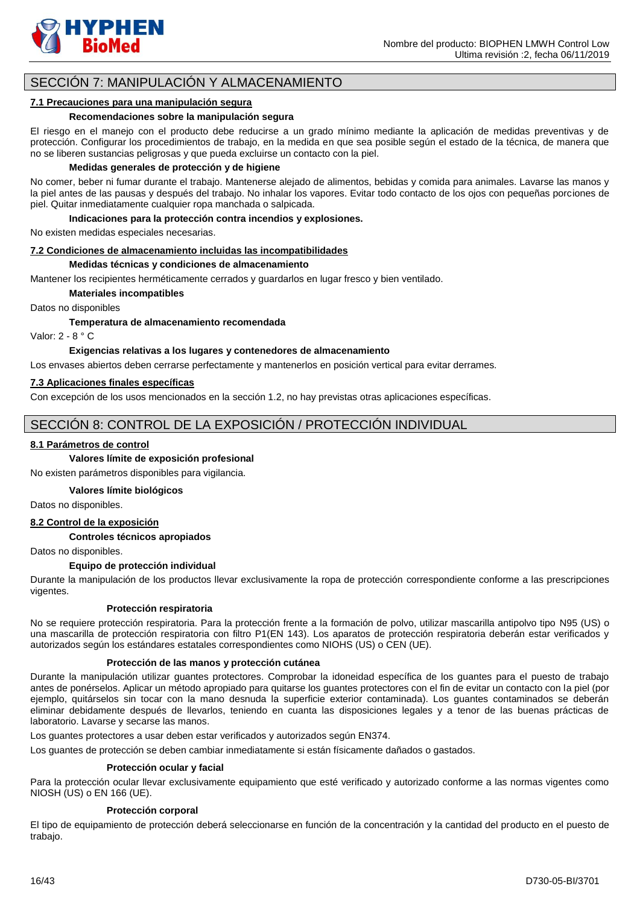

# SECCIÓN 7: MANIPULACIÓN Y ALMACENAMIENTO

# **7.1 Precauciones para una manipulación segura**

# **Recomendaciones sobre la manipulación segura**

El riesgo en el manejo con el producto debe reducirse a un grado mínimo mediante la aplicación de medidas preventivas y de protección. Configurar los procedimientos de trabajo, en la medida en que sea posible según el estado de la técnica, de manera que no se liberen sustancias peligrosas y que pueda excluirse un contacto con la piel.

#### **Medidas generales de protección y de higiene**

No comer, beber ni fumar durante el trabajo. Mantenerse alejado de alimentos, bebidas y comida para animales. Lavarse las manos y la piel antes de las pausas y después del trabajo. No inhalar los vapores. Evitar todo contacto de los ojos con pequeñas porciones de piel. Quitar inmediatamente cualquier ropa manchada o salpicada.

#### **Indicaciones para la protección contra incendios y explosiones.**

No existen medidas especiales necesarias.

#### **7.2 Condiciones de almacenamiento incluidas las incompatibilidades**

#### **Medidas técnicas y condiciones de almacenamiento**

Mantener los recipientes herméticamente cerrados y guardarlos en lugar fresco y bien ventilado.

#### **Materiales incompatibles**

Datos no disponibles

**Temperatura de almacenamiento recomendada**

Valor: 2 - 8 ° C

#### **Exigencias relativas a los lugares y contenedores de almacenamiento**

Los envases abiertos deben cerrarse perfectamente y mantenerlos en posición vertical para evitar derrames.

#### **7.3 Aplicaciones finales específicas**

Con excepción de los usos mencionados en la sección 1.2, no hay previstas otras aplicaciones específicas.

# SECCIÓN 8: CONTROL DE LA EXPOSICIÓN / PROTECCIÓN INDIVIDUAL

#### **8.1 Parámetros de control**

#### **Valores límite de exposición profesional**

No existen parámetros disponibles para vigilancia.

#### **Valores límite biológicos**

Datos no disponibles.

#### **8.2 Control de la exposición**

#### **Controles técnicos apropiados**

Datos no disponibles.

#### **Equipo de protección individual**

Durante la manipulación de los productos llevar exclusivamente la ropa de protección correspondiente conforme a las prescripciones vigentes.

#### **Protección respiratoria**

No se requiere protección respiratoria. Para la protección frente a la formación de polvo, utilizar mascarilla antipolvo tipo N95 (US) o una mascarilla de protección respiratoria con filtro P1(EN 143). Los aparatos de protección respiratoria deberán estar verificados y autorizados según los estándares estatales correspondientes como NIOHS (US) o CEN (UE).

#### **Protección de las manos y protección cutánea**

Durante la manipulación utilizar guantes protectores. Comprobar la idoneidad específica de los guantes para el puesto de trabajo antes de ponérselos. Aplicar un método apropiado para quitarse los guantes protectores con el fin de evitar un contacto con la piel (por ejemplo, quitárselos sin tocar con la mano desnuda la superficie exterior contaminada). Los guantes contaminados se deberán eliminar debidamente después de llevarlos, teniendo en cuanta las disposiciones legales y a tenor de las buenas prácticas de laboratorio. Lavarse y secarse las manos.

Los guantes protectores a usar deben estar verificados y autorizados según EN374.

Los guantes de protección se deben cambiar inmediatamente si están físicamente dañados o gastados.

#### **Protección ocular y facial**

Para la protección ocular llevar exclusivamente equipamiento que esté verificado y autorizado conforme a las normas vigentes como NIOSH (US) o EN 166 (UE).

#### **Protección corporal**

El tipo de equipamiento de protección deberá seleccionarse en función de la concentración y la cantidad del producto en el puesto de trabajo.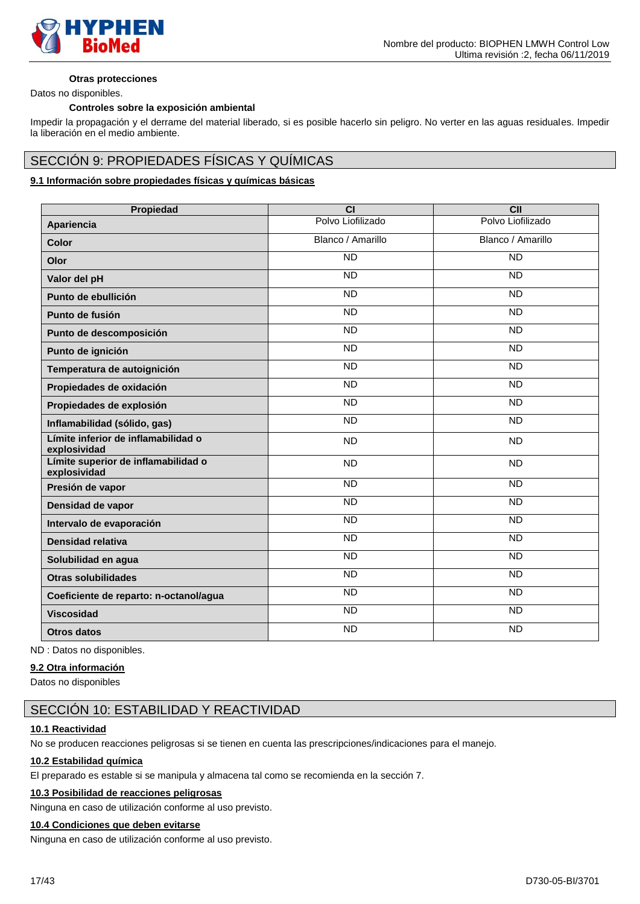

#### **Otras protecciones**

Datos no disponibles.

#### **Controles sobre la exposición ambiental**

Impedir la propagación y el derrame del material liberado, si es posible hacerlo sin peligro. No verter en las aguas residuales. Impedir la liberación en el medio ambiente.

# SECCIÓN 9: PROPIEDADES FÍSICAS Y QUÍMICAS

### **9.1 Información sobre propiedades físicas y químicas básicas**

| Propiedad                                           | <b>CI</b>         | <b>CII</b>        |
|-----------------------------------------------------|-------------------|-------------------|
| Apariencia                                          | Polvo Liofilizado | Polvo Liofilizado |
| <b>Color</b>                                        | Blanco / Amarillo | Blanco / Amarillo |
| Olor                                                | <b>ND</b>         | <b>ND</b>         |
| Valor del pH                                        | <b>ND</b>         | <b>ND</b>         |
| Punto de ebullición                                 | $\overline{ND}$   | <b>ND</b>         |
| Punto de fusión                                     | <b>ND</b>         | <b>ND</b>         |
| Punto de descomposición                             | $\overline{ND}$   | <b>ND</b>         |
| Punto de ignición                                   | $\overline{ND}$   | $\overline{ND}$   |
| Temperatura de autoignición                         | $\overline{ND}$   | $\overline{ND}$   |
| Propiedades de oxidación                            | $\overline{ND}$   | $\overline{ND}$   |
| Propiedades de explosión                            | ND                | ND                |
| Inflamabilidad (sólido, gas)                        | $\overline{ND}$   | $\overline{ND}$   |
| Límite inferior de inflamabilidad o<br>explosividad | <b>ND</b>         | <b>ND</b>         |
| Límite superior de inflamabilidad o<br>explosividad | <b>ND</b>         | <b>ND</b>         |
| Presión de vapor                                    | $\overline{ND}$   | $\overline{ND}$   |
| Densidad de vapor                                   | <b>ND</b>         | <b>ND</b>         |
| Intervalo de evaporación                            | <b>ND</b>         | <b>ND</b>         |
| Densidad relativa                                   | <b>ND</b>         | <b>ND</b>         |
| Solubilidad en agua                                 | $\overline{ND}$   | $\overline{ND}$   |
| <b>Otras solubilidades</b>                          | <b>ND</b>         | <b>ND</b>         |
| Coeficiente de reparto: n-octanol/agua              | <b>ND</b>         | $\overline{ND}$   |
| <b>Viscosidad</b>                                   | <b>ND</b>         | <b>ND</b>         |
| <b>Otros datos</b>                                  | <b>ND</b>         | <b>ND</b>         |

ND : Datos no disponibles.

#### **9.2 Otra información**

Datos no disponibles

# SECCIÓN 10: ESTABILIDAD Y REACTIVIDAD

#### **10.1 Reactividad**

No se producen reacciones peligrosas si se tienen en cuenta las prescripciones/indicaciones para el manejo.

#### **10.2 Estabilidad química**

El preparado es estable si se manipula y almacena tal como se recomienda en la sección 7.

#### **10.3 Posibilidad de reacciones peligrosas**

Ninguna en caso de utilización conforme al uso previsto.

### **10.4 Condiciones que deben evitarse**

Ninguna en caso de utilización conforme al uso previsto.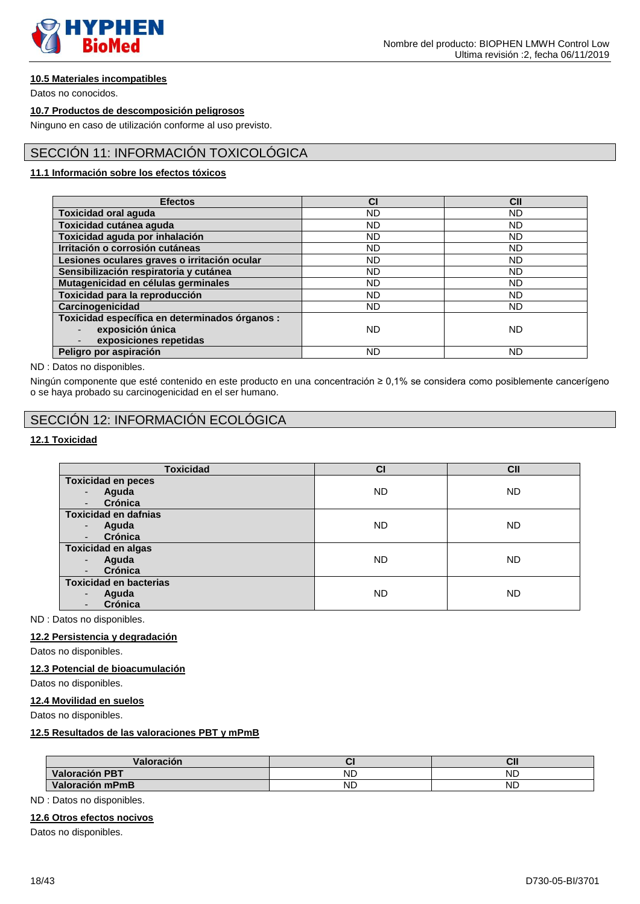

# **10.5 Materiales incompatibles**

Datos no conocidos.

# **10.7 Productos de descomposición peligrosos**

Ninguno en caso de utilización conforme al uso previsto.

# SECCIÓN 11: INFORMACIÓN TOXICOLÓGICA

# **11.1 Información sobre los efectos tóxicos**

| <b>Efectos</b>                                 | <b>CI</b> | <b>CII</b> |
|------------------------------------------------|-----------|------------|
| <b>Toxicidad oral aguda</b>                    | ND        | ND         |
| Toxicidad cutánea aguda                        | <b>ND</b> | <b>ND</b>  |
| Toxicidad aguda por inhalación                 | <b>ND</b> | <b>ND</b>  |
| Irritación o corrosión cutáneas                | <b>ND</b> | <b>ND</b>  |
| Lesiones oculares graves o irritación ocular   | ND.       | ND         |
| Sensibilización respiratoria y cutánea         | ND        | ND         |
| Mutagenicidad en células germinales            | ND.       | ND         |
| Toxicidad para la reproducción                 | ND        | ND         |
| Carcinogenicidad                               | <b>ND</b> | <b>ND</b>  |
| Toxicidad específica en determinados órganos : |           |            |
| exposición única                               | <b>ND</b> | <b>ND</b>  |
| exposiciones repetidas                         |           |            |
| Peligro por aspiración                         | ND.       | ND         |

ND : Datos no disponibles.

Ningún componente que esté contenido en este producto en una concentración ≥ 0,1% se considera como posiblemente cancerígeno o se haya probado su carcinogenicidad en el ser humano.

# SECCIÓN 12: INFORMACIÓN ECOLÓGICA

# **12.1 Toxicidad**

| <b>Toxicidad</b>                    | <b>CI</b> | <b>CII</b> |
|-------------------------------------|-----------|------------|
| <b>Toxicidad en peces</b>           |           |            |
| Aguda<br>$\blacksquare$             | <b>ND</b> | <b>ND</b>  |
| Crónica<br>$\overline{\phantom{a}}$ |           |            |
| <b>Toxicidad en dafnias</b>         |           |            |
| Aguda<br>$\overline{\phantom{a}}$   | ND.       | <b>ND</b>  |
| Crónica                             |           |            |
| <b>Toxicidad en algas</b>           |           |            |
| Aguda<br>$\overline{\phantom{0}}$   | ND.       | <b>ND</b>  |
| Crónica                             |           |            |
| <b>Toxicidad en bacterias</b>       |           |            |
| Aguda<br>$\overline{\phantom{a}}$   | <b>ND</b> | <b>ND</b>  |
| Crónica                             |           |            |

ND : Datos no disponibles.

# **12.2 Persistencia y degradación**

Datos no disponibles.

#### **12.3 Potencial de bioacumulación**

Datos no disponibles.

#### **12.4 Movilidad en suelos**

Datos no disponibles.

### **12.5 Resultados de las valoraciones PBT y mPmB**

| Valoración            |    |           |
|-----------------------|----|-----------|
| <b>Valoración PBT</b> | ND | <b>ND</b> |
| Valoración mPmB       | ND | <b>ND</b> |

ND : Datos no disponibles.

#### **12.6 Otros efectos nocivos**

Datos no disponibles.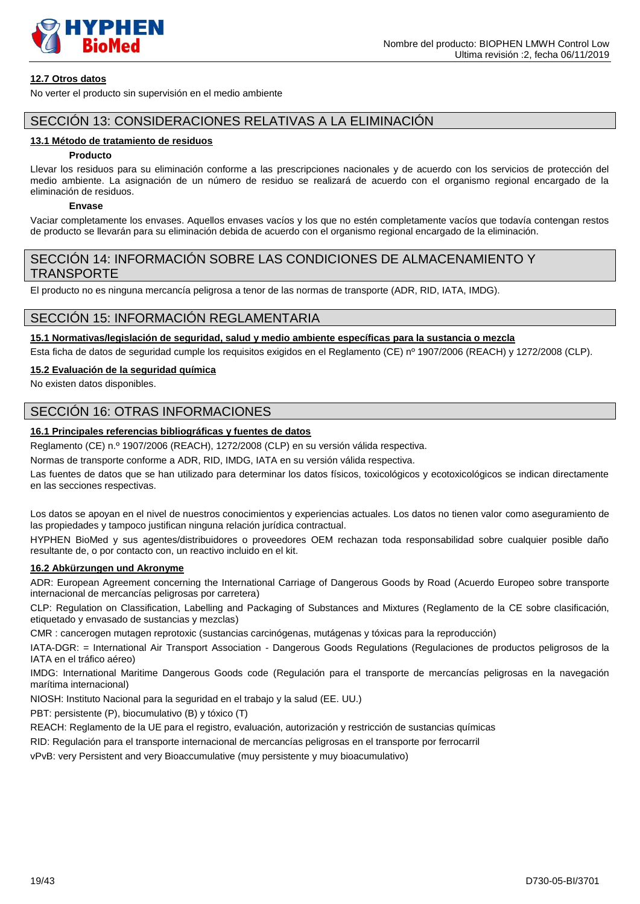

### **12.7 Otros datos**

No verter el producto sin supervisión en el medio ambiente

# SECCIÓN 13: CONSIDERACIONES RELATIVAS A LA ELIMINACIÓN

#### **13.1 Método de tratamiento de residuos**

#### **Producto**

Llevar los residuos para su eliminación conforme a las prescripciones nacionales y de acuerdo con los servicios de protección del medio ambiente. La asignación de un número de residuo se realizará de acuerdo con el organismo regional encargado de la eliminación de residuos.

### **Envase**

Vaciar completamente los envases. Aquellos envases vacíos y los que no estén completamente vacíos que todavía contengan restos de producto se llevarán para su eliminación debida de acuerdo con el organismo regional encargado de la eliminación.

# SECCIÓN 14: INFORMACIÓN SOBRE LAS CONDICIONES DE ALMACENAMIENTO Y TRANSPORTE

El producto no es ninguna mercancía peligrosa a tenor de las normas de transporte (ADR, RID, IATA, IMDG).

# SECCIÓN 15: INFORMACIÓN REGLAMENTARIA

# **15.1 Normativas/legislación de seguridad, salud y medio ambiente específicas para la sustancia o mezcla**

Esta ficha de datos de seguridad cumple los requisitos exigidos en el Reglamento (CE) nº 1907/2006 (REACH) y 1272/2008 (CLP).

### **15.2 Evaluación de la seguridad química**

No existen datos disponibles.

# SECCIÓN 16: OTRAS INFORMACIONES

# **16.1 Principales referencias bibliográficas y fuentes de datos**

Reglamento (CE) n.º 1907/2006 (REACH), 1272/2008 (CLP) en su versión válida respectiva.

Normas de transporte conforme a ADR, RID, IMDG, IATA en su versión válida respectiva.

Las fuentes de datos que se han utilizado para determinar los datos físicos, toxicológicos y ecotoxicológicos se indican directamente en las secciones respectivas.

Los datos se apoyan en el nivel de nuestros conocimientos y experiencias actuales. Los datos no tienen valor como aseguramiento de las propiedades y tampoco justifican ninguna relación jurídica contractual.

HYPHEN BioMed y sus agentes/distribuidores o proveedores OEM rechazan toda responsabilidad sobre cualquier posible daño resultante de, o por contacto con, un reactivo incluido en el kit.

#### **16.2 Abkürzungen und Akronyme**

ADR: European Agreement concerning the International Carriage of Dangerous Goods by Road (Acuerdo Europeo sobre transporte internacional de mercancías peligrosas por carretera)

CLP: Regulation on Classification, Labelling and Packaging of Substances and Mixtures (Reglamento de la CE sobre clasificación, etiquetado y envasado de sustancias y mezclas)

CMR : cancerogen mutagen reprotoxic (sustancias carcinógenas, mutágenas y tóxicas para la reproducción)

IATA-DGR: = International Air Transport Association - Dangerous Goods Regulations (Regulaciones de productos peligrosos de la IATA en el tráfico aéreo)

IMDG: International Maritime Dangerous Goods code (Regulación para el transporte de mercancías peligrosas en la navegación marítima internacional)

NIOSH: Instituto Nacional para la seguridad en el trabajo y la salud (EE. UU.)

PBT: persistente (P), biocumulativo (B) y tóxico (T)

REACH: Reglamento de la UE para el registro, evaluación, autorización y restricción de sustancias químicas

RID: Regulación para el transporte internacional de mercancías peligrosas en el transporte por ferrocarril

vPvB: very Persistent and very Bioaccumulative (muy persistente y muy bioacumulativo)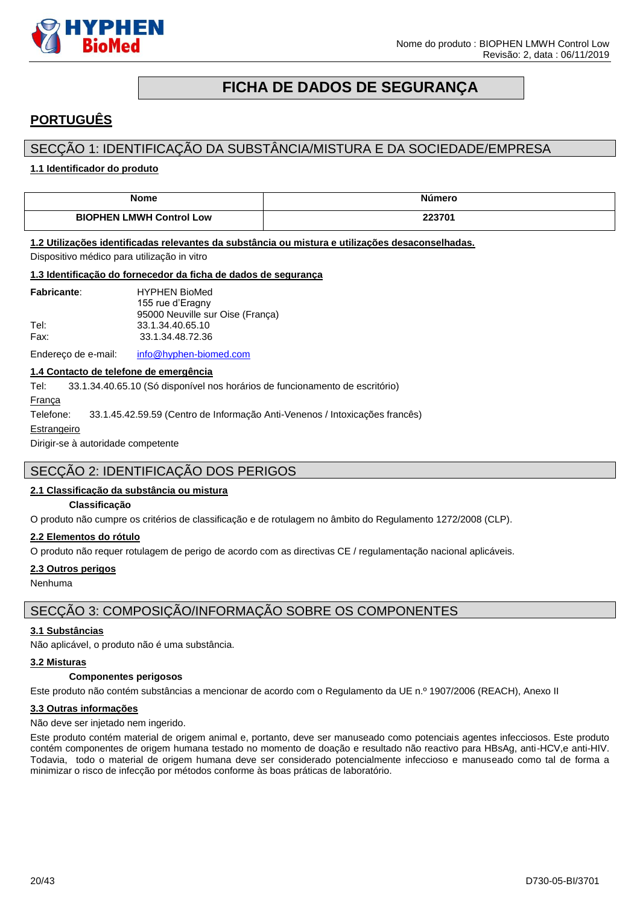

# **FICHA DE DADOS DE SEGURANÇA**

# <span id="page-19-0"></span>**PORTUGUÊS**

# SECÇÃO 1: IDENTIFICAÇÃO DA SUBSTÂNCIA/MISTURA E DA SOCIEDADE/EMPRESA

#### **1.1 Identificador do produto**

| <b>Nome</b>                                    |  |
|------------------------------------------------|--|
|                                                |  |
| ∟MWH Control ˈ<br><b>BIOPHEN</b><br><b>Low</b> |  |

#### **1.2 Utilizações identificadas relevantes da substância ou mistura e utilizações desaconselhadas.**

Dispositivo médico para utilização in vitro

#### **1.3 Identificação do fornecedor da ficha de dados de segurança**

| <b>Fabricante:</b> | <b>HYPHEN BioMed</b>             |
|--------------------|----------------------------------|
|                    | 155 rue d'Eragny                 |
|                    | 95000 Neuville sur Oise (Franca) |
| Tel:               | 33.1.34.40.65.10                 |
| Fax:               | 33.1.34.48.72.36                 |
|                    |                                  |

Endereço de e-mail: [info@hyphen-biomed.com](mailto:info@hyphen-biomed.com)

#### **1.4 Contacto de telefone de emergência**

Tel: 33.1.34.40.65.10 (Só disponível nos horários de funcionamento de escritório)

França

Telefone: 33.1.45.42.59.59 (Centro de Informação Anti-Venenos / Intoxicações francês)

#### Estrangeiro

Dirigir-se à autoridade competente

# SECÇÃO 2: IDENTIFICAÇÃO DOS PERIGOS

#### **2.1 Classificação da substância ou mistura**

#### **Classificação**

O produto não cumpre os critérios de classificação e de rotulagem no âmbito do Regulamento 1272/2008 (CLP).

#### **2.2 Elementos do rótulo**

O produto não requer rotulagem de perigo de acordo com as directivas CE / regulamentação nacional aplicáveis.

#### **2.3 Outros perigos**

Nenhuma

# SECÇÃO 3: COMPOSIÇÃO/INFORMAÇÃO SOBRE OS COMPONENTES

#### **3.1 Substâncias**

Não aplicável, o produto não é uma substância.

#### **3.2 Misturas**

#### **Componentes perigosos**

Este produto não contém substâncias a mencionar de acordo com o Regulamento da UE n.º 1907/2006 (REACH), Anexo II

#### **3.3 Outras informações**

Não deve ser injetado nem ingerido.

Este produto contém material de origem animal e, portanto, deve ser manuseado como potenciais agentes infecciosos. Este produto contém componentes de origem humana testado no momento de doação e resultado não reactivo para HBsAg, anti-HCV,e anti-HIV. Todavia, todo o material de origem humana deve ser considerado potencialmente infeccioso e manuseado como tal de forma a minimizar o risco de infecção por métodos conforme às boas práticas de laboratório.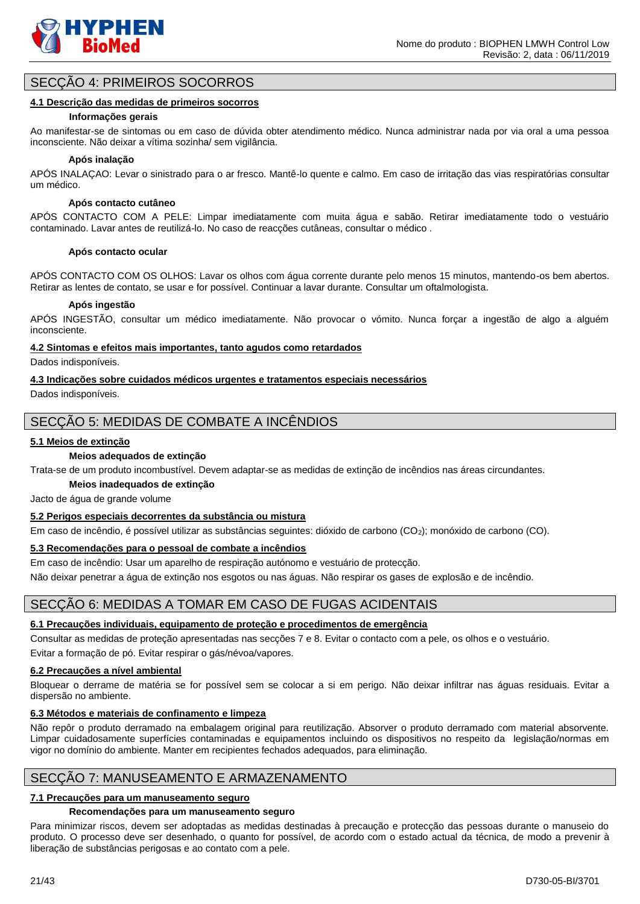

# SECÇÃO 4: PRIMEIROS SOCORROS

#### **4.1 Descrição das medidas de primeiros socorros**

#### **Informações gerais**

Ao manifestar-se de sintomas ou em caso de dúvida obter atendimento médico. Nunca administrar nada por via oral a uma pessoa inconsciente. Não deixar a vítima sozinha/ sem vigilância.

#### **Após inalação**

APÓS INALAÇAO: Levar o sinistrado para o ar fresco. Mantê-lo quente e calmo. Em caso de irritação das vias respiratórias consultar um médico.

#### **Após contacto cutâneo**

APÓS CONTACTO COM A PELE: Limpar imediatamente com muita água e sabão. Retirar imediatamente todo o vestuário contaminado. Lavar antes de reutilizá-lo. No caso de reacções cutâneas, consultar o médico .

#### **Após contacto ocular**

APÓS CONTACTO COM OS OLHOS: Lavar os olhos com água corrente durante pelo menos 15 minutos, mantendo-os bem abertos. Retirar as lentes de contato, se usar e for possível. Continuar a lavar durante. Consultar um oftalmologista.

#### **Após ingestão**

APÓS INGESTÃO, consultar um médico imediatamente. Não provocar o vómito. Nunca forçar a ingestão de algo a alguém inconsciente.

#### **4.2 Sintomas e efeitos mais importantes, tanto agudos como retardados**

Dados indisponíveis.

#### **4.3 Indicações sobre cuidados médicos urgentes e tratamentos especiais necessários**

Dados indisponíveis.

# SECÇÃO 5: MEDIDAS DE COMBATE A INCÊNDIOS

#### **5.1 Meios de extinção**

#### **Meios adequados de extinção**

Trata-se de um produto incombustível. Devem adaptar-se as medidas de extinção de incêndios nas áreas circundantes.

#### **Meios inadequados de extinção**

Jacto de água de grande volume

#### **5.2 Perigos especiais decorrentes da substância ou mistura**

Em caso de incêndio, é possível utilizar as substâncias seguintes: dióxido de carbono (CO2); monóxido de carbono (CO).

#### **5.3 Recomendações para o pessoal de combate a incêndios**

Em caso de incêndio: Usar um aparelho de respiração autónomo e vestuário de protecção.

Não deixar penetrar a água de extinção nos esgotos ou nas águas. Não respirar os gases de explosão e de incêndio.

# SECÇÃO 6: MEDIDAS A TOMAR EM CASO DE FUGAS ACIDENTAIS

# **6.1 Precauções individuais, equipamento de proteção e procedimentos de emergência**

Consultar as medidas de proteção apresentadas nas secções 7 e 8. Evitar o contacto com a pele, os olhos e o vestuário. Evitar a formação de pó. Evitar respirar o gás/névoa/vapores.

# **6.2 Precauções a nível ambiental**

Bloquear o derrame de matéria se for possível sem se colocar a si em perigo. Não deixar infiltrar nas águas residuais. Evitar a dispersão no ambiente.

# **6.3 Métodos e materiais de confinamento e limpeza**

Não repôr o produto derramado na embalagem original para reutilização. Absorver o produto derramado com material absorvente. Limpar cuidadosamente superfícies contaminadas e equipamentos incluindo os dispositivos no respeito da legislação/normas em vigor no domínio do ambiente. Manter em recipientes fechados adequados, para eliminação.

# SECÇÃO 7: MANUSEAMENTO E ARMAZENAMENTO

# **7.1 Precauções para um manuseamento seguro**

# **Recomendações para um manuseamento seguro**

Para minimizar riscos, devem ser adoptadas as medidas destinadas à precaução e protecção das pessoas durante o manuseio do produto. O processo deve ser desenhado, o quanto for possível, de acordo com o estado actual da técnica, de modo a prevenir à liberação de substâncias perigosas e ao contato com a pele.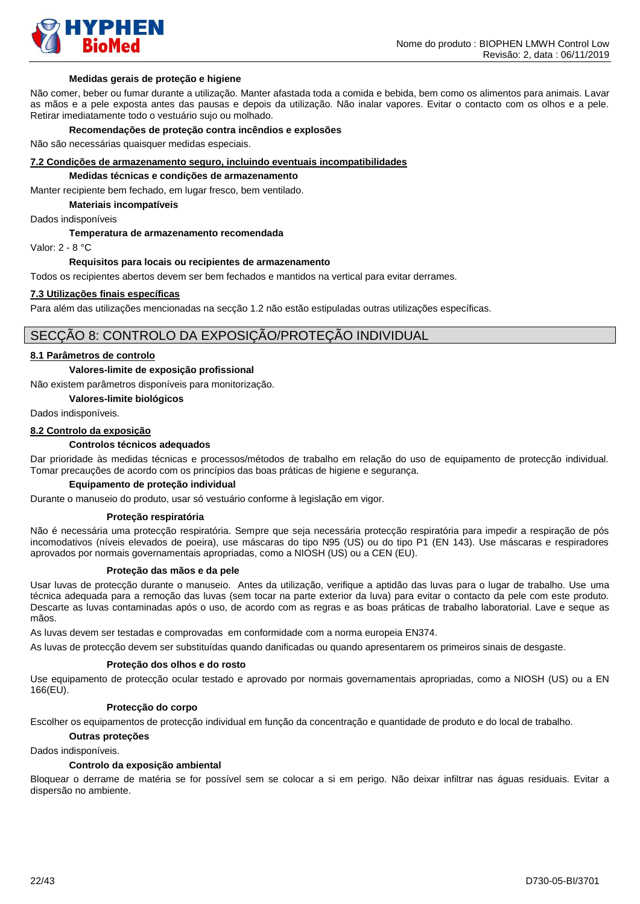

#### **Medidas gerais de proteção e higiene**

Não comer, beber ou fumar durante a utilização. Manter afastada toda a comida e bebida, bem como os alimentos para animais. Lavar as mãos e a pele exposta antes das pausas e depois da utilização. Não inalar vapores. Evitar o contacto com os olhos e a pele. Retirar imediatamente todo o vestuário sujo ou molhado.

#### **Recomendações de proteção contra incêndios e explosões**

Não são necessárias quaisquer medidas especiais.

#### **7.2 Condições de armazenamento seguro, incluindo eventuais incompatibilidades**

#### **Medidas técnicas e condições de armazenamento**

Manter recipiente bem fechado, em lugar fresco, bem ventilado.

**Materiais incompatíveis**

Dados indisponíveis

#### **Temperatura de armazenamento recomendada**

Valor: 2 - 8 °C

#### **Requisitos para locais ou recipientes de armazenamento**

Todos os recipientes abertos devem ser bem fechados e mantidos na vertical para evitar derrames.

#### **7.3 Utilizações finais específicas**

Para além das utilizações mencionadas na secção 1.2 não estão estipuladas outras utilizações específicas.

#### SECÇÃO 8: CONTROLO DA EXPOSIÇÃO/PROTEÇÃO INDIVIDUAL

#### **8.1 Parâmetros de controlo**

#### **Valores-limite de exposição profissional**

Não existem parâmetros disponíveis para monitorização.

#### **Valores-limite biológicos**

Dados indisponíveis.

#### **8.2 Controlo da exposição**

#### **Controlos técnicos adequados**

Dar prioridade às medidas técnicas e processos/métodos de trabalho em relação do uso de equipamento de protecção individual. Tomar precauções de acordo com os princípios das boas práticas de higiene e segurança.

#### **Equipamento de proteção individual**

Durante o manuseio do produto, usar só vestuário conforme à legislação em vigor.

#### **Proteção respiratória**

Não é necessária uma protecção respiratória. Sempre que seja necessária protecção respiratória para impedir a respiração de pós incomodativos (níveis elevados de poeira), use máscaras do tipo N95 (US) ou do tipo P1 (EN 143). Use máscaras e respiradores aprovados por normais governamentais apropriadas, como a NIOSH (US) ou a CEN (EU).

#### **Proteção das mãos e da pele**

Usar luvas de protecção durante o manuseio. Antes da utilização, verifique a aptidão das luvas para o lugar de trabalho. Use uma técnica adequada para a remoção das luvas (sem tocar na parte exterior da luva) para evitar o contacto da pele com este produto. Descarte as luvas contaminadas após o uso, de acordo com as regras e as boas práticas de trabalho laboratorial. Lave e seque as mãos.

As luvas devem ser testadas e comprovadas em conformidade com a norma europeia EN374.

As luvas de protecção devem ser substituídas quando danificadas ou quando apresentarem os primeiros sinais de desgaste.

#### **Proteção dos olhos e do rosto**

Use equipamento de protecção ocular testado e aprovado por normais governamentais apropriadas, como a NIOSH (US) ou a EN 166(EU).

#### **Protecção do corpo**

Escolher os equipamentos de protecção individual em função da concentração e quantidade de produto e do local de trabalho.

#### **Outras proteções**

Dados indisponíveis.

#### **Controlo da exposição ambiental**

Bloquear o derrame de matéria se for possível sem se colocar a si em perigo. Não deixar infiltrar nas águas residuais. Evitar a dispersão no ambiente.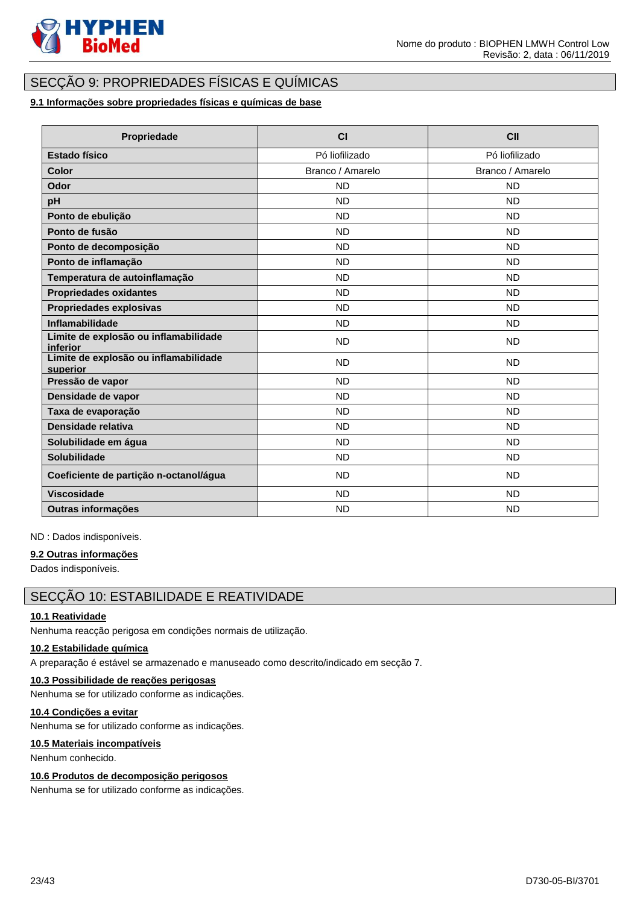

# SECÇÃO 9: PROPRIEDADES FÍSICAS E QUÍMICAS

# **9.1 Informações sobre propriedades físicas e químicas de base**

| Propriedade                                       | CI               | CII              |
|---------------------------------------------------|------------------|------------------|
| Estado físico                                     | Pó liofilizado   | Pó liofilizado   |
| Color                                             | Branco / Amarelo | Branco / Amarelo |
| Odor                                              | <b>ND</b>        | <b>ND</b>        |
| pH                                                | <b>ND</b>        | <b>ND</b>        |
| Ponto de ebulição                                 | <b>ND</b>        | <b>ND</b>        |
| Ponto de fusão                                    | <b>ND</b>        | <b>ND</b>        |
| Ponto de decomposição                             | <b>ND</b>        | <b>ND</b>        |
| Ponto de inflamação                               | <b>ND</b>        | <b>ND</b>        |
| Temperatura de autoinflamação                     | <b>ND</b>        | <b>ND</b>        |
| <b>Propriedades oxidantes</b>                     | <b>ND</b>        | <b>ND</b>        |
| Propriedades explosivas                           | <b>ND</b>        | <b>ND</b>        |
| <b>Inflamabilidade</b>                            | <b>ND</b>        | <b>ND</b>        |
| Limite de explosão ou inflamabilidade<br>inferior | <b>ND</b>        | <b>ND</b>        |
| Limite de explosão ou inflamabilidade<br>superior | <b>ND</b>        | <b>ND</b>        |
| Pressão de vapor                                  | <b>ND</b>        | <b>ND</b>        |
| Densidade de vapor                                | <b>ND</b>        | <b>ND</b>        |
| Taxa de evaporação                                | <b>ND</b>        | <b>ND</b>        |
| Densidade relativa                                | <b>ND</b>        | <b>ND</b>        |
| Solubilidade em água                              | <b>ND</b>        | <b>ND</b>        |
| Solubilidade                                      | <b>ND</b>        | <b>ND</b>        |
| Coeficiente de partição n-octanol/água            | <b>ND</b>        | <b>ND</b>        |
| <b>Viscosidade</b>                                | <b>ND</b>        | <b>ND</b>        |
| Outras informações                                | <b>ND</b>        | <b>ND</b>        |

#### ND : Dados indisponíveis.

#### **9.2 Outras informações**

Dados indisponíveis.

# SECÇÃO 10: ESTABILIDADE E REATIVIDADE

### **10.1 Reatividade**

Nenhuma reacção perigosa em condições normais de utilização.

#### **10.2 Estabilidade química**

A preparação é estável se armazenado e manuseado como descrito/indicado em secção 7.

# **10.3 Possibilidade de reações perigosas**

Nenhuma se for utilizado conforme as indicações.

# **10.4 Condições a evitar**

Nenhuma se for utilizado conforme as indicações.

# **10.5 Materiais incompatíveis**

Nenhum conhecido.

# **10.6 Produtos de decomposição perigosos**

Nenhuma se for utilizado conforme as indicações.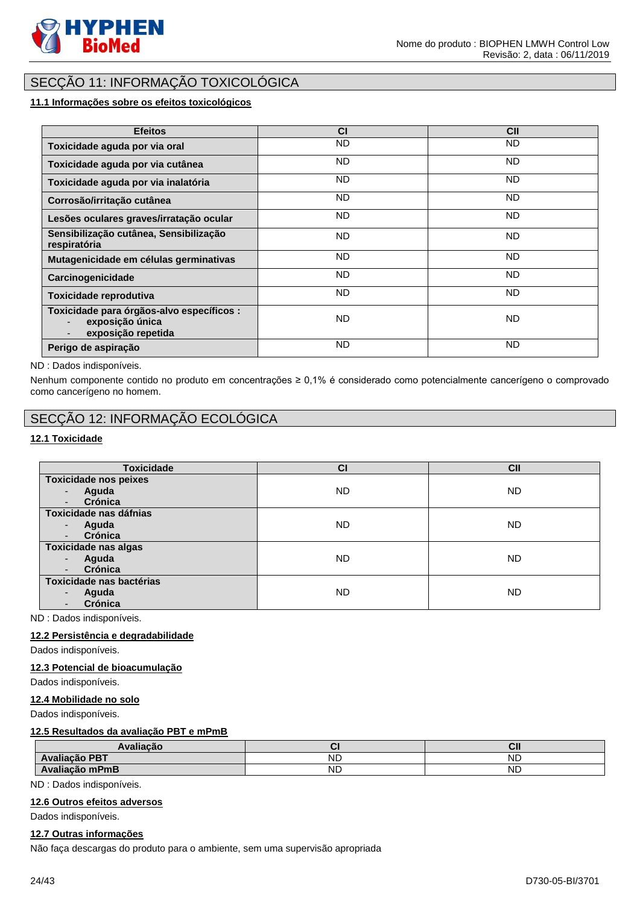

# SECÇÃO 11: INFORMAÇÃO TOXICOLÓGICA

### **11.1 Informações sobre os efeitos toxicológicos**

| <b>Efeitos</b>                                                                     | <b>CI</b> | <b>CII</b> |
|------------------------------------------------------------------------------------|-----------|------------|
| Toxicidade aguda por via oral                                                      | <b>ND</b> | ND.        |
| Toxicidade aguda por via cutânea                                                   | ND.       | ND.        |
| Toxicidade aguda por via inalatória                                                | ND.       | ND.        |
| Corrosão/irritação cutânea                                                         | <b>ND</b> | ND.        |
| Lesões oculares graves/irratação ocular                                            | ND.       | <b>ND</b>  |
| Sensibilização cutânea, Sensibilização<br>respiratória                             | ND.       | ND.        |
| Mutagenicidade em células germinativas                                             | <b>ND</b> | ND.        |
| Carcinogenicidade                                                                  | <b>ND</b> | <b>ND</b>  |
| Toxicidade reprodutiva                                                             | <b>ND</b> | ND.        |
| Toxicidade para órgãos-alvo específicos :<br>exposição única<br>exposição repetida | ND.       | ND.        |
| Perigo de aspiração                                                                | <b>ND</b> | <b>ND</b>  |

#### ND : Dados indisponíveis.

Nenhum componente contido no produto em concentrações ≥ 0,1% é considerado como potencialmente cancerígeno o comprovado como cancerígeno no homem.

# SECÇÃO 12: INFORMAÇÃO ECOLÓGICA

#### **12.1 Toxicidade**

| <b>Toxicidade</b>            | <b>CI</b> | <b>CII</b> |
|------------------------------|-----------|------------|
| <b>Toxicidade nos peixes</b> |           |            |
| Aguda                        | <b>ND</b> | <b>ND</b>  |
| Crónica                      |           |            |
| Toxicidade nas dáfnias       |           |            |
| Aguda<br>$\blacksquare$      | <b>ND</b> | <b>ND</b>  |
| Crónica                      |           |            |
| <b>Toxicidade nas algas</b>  |           |            |
| Aguda                        | <b>ND</b> | <b>ND</b>  |
| Crónica                      |           |            |
| Toxicidade nas bactérias     |           |            |
| Aguda                        | <b>ND</b> | ND.        |
| <b>Crónica</b>               |           |            |

ND : Dados indisponíveis.

### **12.2 Persistência e degradabilidade**

Dados indisponíveis.

#### **12.3 Potencial de bioacumulação**

Dados indisponíveis.

#### **12.4 Mobilidade no solo**

Dados indisponíveis.

#### **12.5 Resultados da avaliação PBT e mPmB**

| Avaliação      |           | ~…<br>UI  |
|----------------|-----------|-----------|
| Avaliação PBT  | ND        | <b>NL</b> |
| Avaliação mPmB | <b>ND</b> | <b>ND</b> |

ND : Dados indisponíveis.

#### **12.6 Outros efeitos adversos**

Dados indisponíveis.

#### **12.7 Outras informações**

Não faça descargas do produto para o ambiente, sem uma supervisão apropriada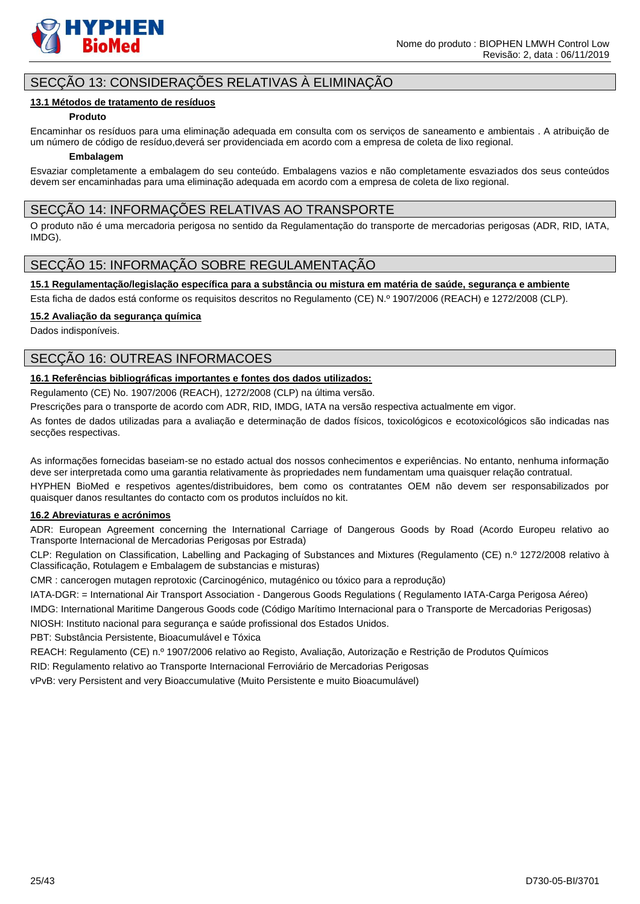

# SECÇÃO 13: CONSIDERAÇÕES RELATIVAS À ELIMINAÇÃO

#### **13.1 Métodos de tratamento de resíduos**

#### **Produto**

Encaminhar os resíduos para uma eliminação adequada em consulta com os serviços de saneamento e ambientais . A atribuição de um número de código de resíduo,deverá ser providenciada em acordo com a empresa de coleta de lixo regional.

#### **Embalagem**

Esvaziar completamente a embalagem do seu conteúdo. Embalagens vazios e não completamente esvaziados dos seus conteúdos devem ser encaminhadas para uma eliminação adequada em acordo com a empresa de coleta de lixo regional.

# SECÇÃO 14: INFORMAÇÕES RELATIVAS AO TRANSPORTE

O produto não é uma mercadoria perigosa no sentido da Regulamentação do transporte de mercadorias perigosas (ADR, RID, IATA, IMDG).

# SECÇÃO 15: INFORMAÇÃO SOBRE REGULAMENTAÇÃO

**15.1 Regulamentação/legislação específica para a substância ou mistura em matéria de saúde, segurança e ambiente**

Esta ficha de dados está conforme os requisitos descritos no Regulamento (CE) N.º 1907/2006 (REACH) e 1272/2008 (CLP).

#### **15.2 Avaliação da segurança química**

Dados indisponíveis.

# SECÇÃO 16: OUTREAS INFORMACOES

#### **16.1 Referências bibliográficas importantes e fontes dos dados utilizados:**

Regulamento (CE) No. 1907/2006 (REACH), 1272/2008 (CLP) na última versão.

Prescrições para o transporte de acordo com ADR, RID, IMDG, IATA na versão respectiva actualmente em vigor.

As fontes de dados utilizadas para a avaliação e determinação de dados físicos, toxicológicos e ecotoxicológicos são indicadas nas secções respectivas.

As informações fornecidas baseiam-se no estado actual dos nossos conhecimentos e experiências. No entanto, nenhuma informação deve ser interpretada como uma garantia relativamente às propriedades nem fundamentam uma quaisquer relação contratual.

HYPHEN BioMed e respetivos agentes/distribuidores, bem como os contratantes OEM não devem ser responsabilizados por quaisquer danos resultantes do contacto com os produtos incluídos no kit.

#### **16.2 Abreviaturas e acrónimos**

ADR: European Agreement concerning the International Carriage of Dangerous Goods by Road (Acordo Europeu relativo ao Transporte Internacional de Mercadorias Perigosas por Estrada)

CLP: Regulation on Classification, Labelling and Packaging of Substances and Mixtures (Regulamento (CE) n.º 1272/2008 relativo à Classificação, Rotulagem e Embalagem de substancias e misturas)

CMR : cancerogen mutagen reprotoxic (Carcinogénico, mutagénico ou tóxico para a reprodução)

IATA-DGR: = International Air Transport Association - Dangerous Goods Regulations ( Regulamento IATA-Carga Perigosa Aéreo)

IMDG: International Maritime Dangerous Goods code (Código Marítimo Internacional para o Transporte de Mercadorias Perigosas) NIOSH: Instituto nacional para segurança e saúde profissional dos Estados Unidos.

PBT: Substância Persistente, Bioacumulável e Tóxica

REACH: Regulamento (CE) n.º 1907/2006 relativo ao Registo, Avaliação, Autorização e Restrição de Produtos Químicos

RID: Regulamento relativo ao Transporte Internacional Ferroviário de Mercadorias Perigosas

vPvB: very Persistent and very Bioaccumulative (Muito Persistente e muito Bioacumulável)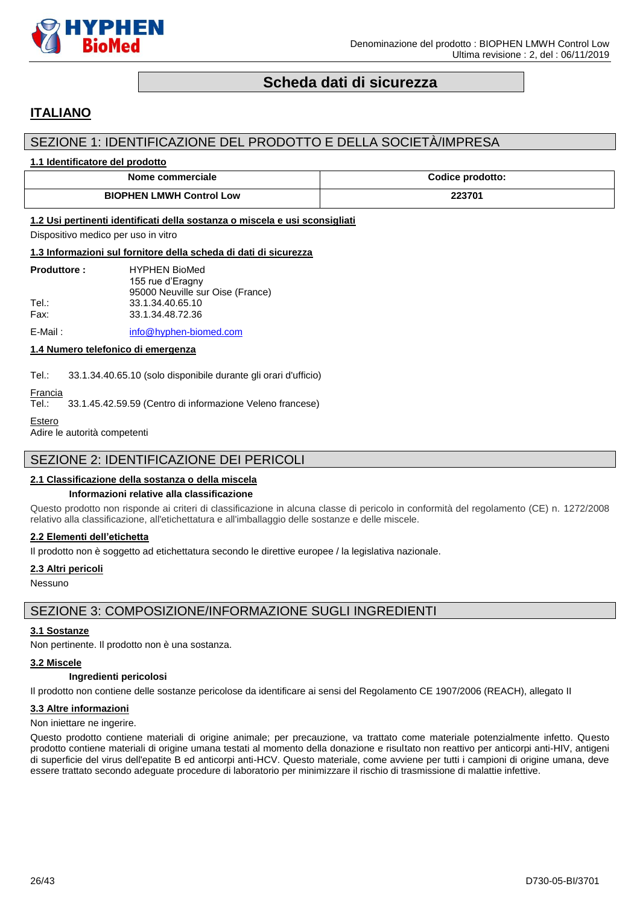

# **Scheda dati di sicurezza**

# <span id="page-25-0"></span>**ITALIANO**

# SEZIONE 1: IDENTIFICAZIONE DEL PRODOTTO E DELLA SOCIETÀ/IMPRESA

#### **1.1 Identificatore del prodotto**

| Nome commerciale                | Codice prodotto: |
|---------------------------------|------------------|
| <b>BIOPHEN LMWH Control Low</b> | 223701           |

#### **1.2 Usi pertinenti identificati della sostanza o miscela e usi sconsigliati**

Dispositivo medico per uso in vitro

#### **1.3 Informazioni sul fornitore della scheda di dati di sicurezza**

| <b>Produttore:</b> | <b>HYPHEN BioMed</b>             |
|--------------------|----------------------------------|
|                    | 155 rue d'Eragny                 |
|                    | 95000 Neuville sur Oise (France) |
| Tel∴               | 33.1.34.40.65.10                 |
| Fax:               | 33.1.34.48.72.36                 |
|                    |                                  |

E-Mail: [info@hyphen-biomed.com](mailto:info@hyphen-biomed.com)

#### **1.4 Numero telefonico di emergenza**

Tel.: 33.1.34.40.65.10 (solo disponibile durante gli orari d'ufficio)

# Francia<br>Tel.:

33.1.45.42.59.59 (Centro di informazione Veleno francese)

```
Estero
```
Adire le autorità competenti

# SEZIONE 2: IDENTIFICAZIONE DEI PERICOLI

#### **2.1 Classificazione della sostanza o della miscela**

#### **Informazioni relative alla classificazione**

Questo prodotto non risponde ai criteri di classificazione in alcuna classe di pericolo in conformità del regolamento (CE) n. 1272/2008 relativo alla classificazione, all'etichettatura e all'imballaggio delle sostanze e delle miscele.

#### **2.2 Elementi dell'etichetta**

Il prodotto non è soggetto ad etichettatura secondo le direttive europee / la legislativa nazionale.

#### **2.3 Altri pericoli**

Nessuno

# SEZIONE 3: COMPOSIZIONE/INFORMAZIONE SUGLI INGREDIENTI

#### **3.1 Sostanze**

Non pertinente. Il prodotto non è una sostanza.

#### **3.2 Miscele**

# **Ingredienti pericolosi**

Il prodotto non contiene delle sostanze pericolose da identificare ai sensi del Regolamento CE 1907/2006 (REACH), allegato II

#### **3.3 Altre informazioni**

#### Non iniettare ne ingerire.

Questo prodotto contiene materiali di origine animale; per precauzione, va trattato come materiale potenzialmente infetto. Questo prodotto contiene materiali di origine umana testati al momento della donazione e risultato non reattivo per anticorpi anti-HIV, antigeni di superficie del virus dell'epatite B ed anticorpi anti-HCV. Questo materiale, come avviene per tutti i campioni di origine umana, deve essere trattato secondo adeguate procedure di laboratorio per minimizzare il rischio di trasmissione di malattie infettive.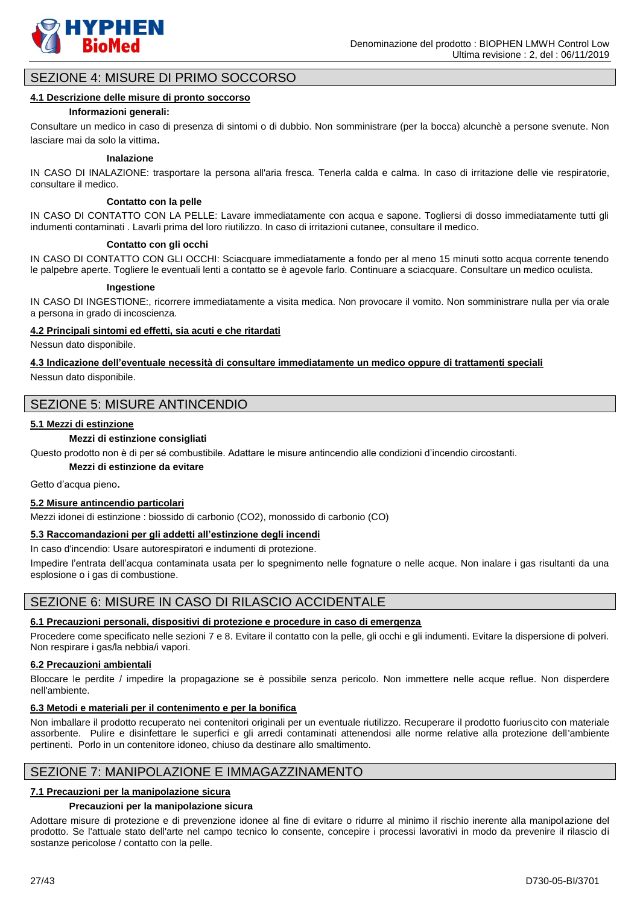

# SEZIONE 4: MISURE DI PRIMO SOCCORSO

#### **4.1 Descrizione delle misure di pronto soccorso**

#### **Informazioni generali:**

Consultare un medico in caso di presenza di sintomi o di dubbio. Non somministrare (per la bocca) alcunchè a persone svenute. Non lasciare mai da solo la vittima.

#### **Inalazione**

IN CASO DI INALAZIONE: trasportare la persona all'aria fresca. Tenerla calda e calma. In caso di irritazione delle vie respiratorie, consultare il medico.

#### **Contatto con la pelle**

IN CASO DI CONTATTO CON LA PELLE: Lavare immediatamente con acqua e sapone. Togliersi di dosso immediatamente tutti gli indumenti contaminati . Lavarli prima del loro riutilizzo. In caso di irritazioni cutanee, consultare il medico.

#### **Contatto con gli occhi**

IN CASO DI CONTATTO CON GLI OCCHI: Sciacquare immediatamente a fondo per al meno 15 minuti sotto acqua corrente tenendo le palpebre aperte. Togliere le eventuali lenti a contatto se è agevole farlo. Continuare a sciacquare. Consultare un medico oculista.

#### **Ingestione**

IN CASO DI INGESTIONE:, ricorrere immediatamente a visita medica. Non provocare il vomito. Non somministrare nulla per via orale a persona in grado di incoscienza.

#### **4.2 Principali sintomi ed effetti, sia acuti e che ritardati**

Nessun dato disponibile.

**4.3 Indicazione dell'eventuale necessità di consultare immediatamente un medico oppure di trattamenti speciali** Nessun dato disponibile.

# SEZIONE 5: MISURE ANTINCENDIO

#### **5.1 Mezzi di estinzione**

#### **Mezzi di estinzione consigliati**

Questo prodotto non è di per sé combustibile. Adattare le misure antincendio alle condizioni d'incendio circostanti.

#### **Mezzi di estinzione da evitare**

Getto d'acqua pieno.

#### **5.2 Misure antincendio particolari**

Mezzi idonei di estinzione : biossido di carbonio (CO2), monossido di carbonio (CO)

#### **5.3 Raccomandazioni per gli addetti all'estinzione degli incendi**

In caso d'incendio: Usare autorespiratori e indumenti di protezione.

Impedire l'entrata dell'acqua contaminata usata per lo spegnimento nelle fognature o nelle acque. Non inalare i gas risultanti da una esplosione o i gas di combustione.

# SEZIONE 6: MISURE IN CASO DI RILASCIO ACCIDENTALE

#### **6.1 Precauzioni personali, dispositivi di protezione e procedure in caso di emergenza**

Procedere come specificato nelle sezioni 7 e 8. Evitare il contatto con la pelle, gli occhi e gli indumenti. Evitare la dispersione di polveri. Non respirare i gas/la nebbia/i vapori.

#### **6.2 Precauzioni ambientali**

Bloccare le perdite / impedire la propagazione se è possibile senza pericolo. Non immettere nelle acque reflue. Non disperdere nell'ambiente.

#### **6.3 Metodi e materiali per il contenimento e per la bonifica**

Non imballare il prodotto recuperato nei contenitori originali per un eventuale riutilizzo. Recuperare il prodotto fuoriuscito con materiale assorbente. Pulire e disinfettare le superfici e gli arredi contaminati attenendosi alle norme relative alla protezione dell'ambiente pertinenti. Porlo in un contenitore idoneo, chiuso da destinare allo smaltimento.

# SEZIONE 7: MANIPOLAZIONE E IMMAGAZZINAMENTO

#### **7.1 Precauzioni per la manipolazione sicura**

#### **Precauzioni per la manipolazione sicura**

Adottare misure di protezione e di prevenzione idonee al fine di evitare o ridurre al minimo il rischio inerente alla manipolazione del prodotto. Se l'attuale stato dell'arte nel campo tecnico lo consente, concepire i processi lavorativi in modo da prevenire il rilascio di sostanze pericolose / contatto con la pelle.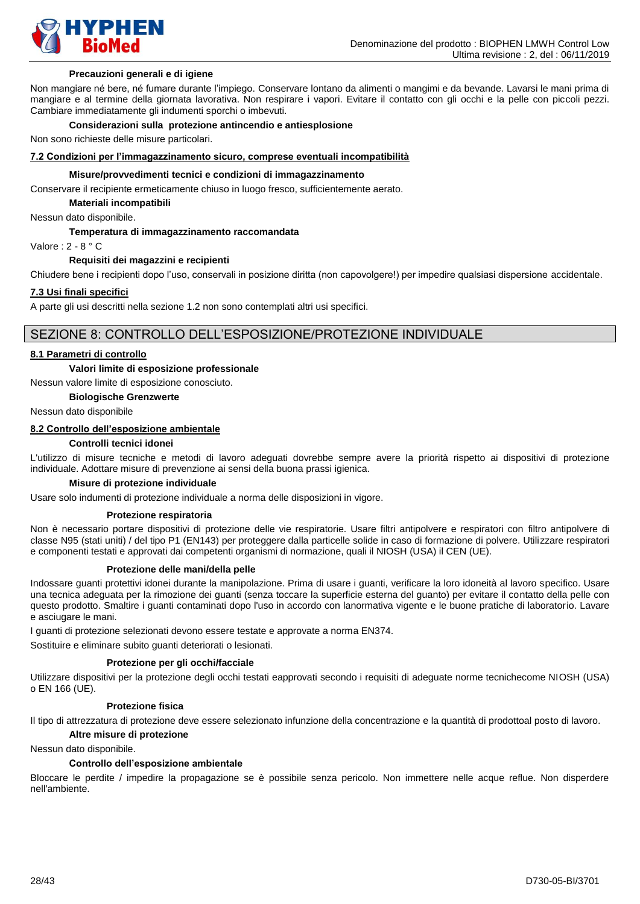

#### **Precauzioni generali e di igiene**

Non mangiare né bere, né fumare durante l'impiego. Conservare lontano da alimenti o mangimi e da bevande. Lavarsi le mani prima di mangiare e al termine della giornata lavorativa. Non respirare i vapori. Evitare il contatto con gli occhi e la pelle con piccoli pezzi. Cambiare immediatamente gli indumenti sporchi o imbevuti.

#### **Considerazioni sulla protezione antincendio e antiesplosione**

Non sono richieste delle misure particolari.

#### **7.2 Condizioni per l'immagazzinamento sicuro, comprese eventuali incompatibilità**

#### **Misure/provvedimenti tecnici e condizioni di immagazzinamento**

Conservare il recipiente ermeticamente chiuso in luogo fresco, sufficientemente aerato.

**Materiali incompatibili**

Nessun dato disponibile.

#### **Temperatura di immagazzinamento raccomandata**

Valore : 2 - 8 ° C

#### **Requisiti dei magazzini e recipienti**

Chiudere bene i recipienti dopo l'uso, conservali in posizione diritta (non capovolgere!) per impedire qualsiasi dispersione accidentale.

#### **7.3 Usi finali specifici**

A parte gli usi descritti nella sezione 1.2 non sono contemplati altri usi specifici.

### SEZIONE 8: CONTROLLO DELL'ESPOSIZIONE/PROTEZIONE INDIVIDUALE

#### **8.1 Parametri di controllo**

#### **Valori limite di esposizione professionale**

Nessun valore limite di esposizione conosciuto.

#### **Biologische Grenzwerte**

Nessun dato disponibile

## **8.2 Controllo dell'esposizione ambientale**

#### **Controlli tecnici idonei**

L'utilizzo di misure tecniche e metodi di lavoro adeguati dovrebbe sempre avere la priorità rispetto ai dispositivi di protezione individuale. Adottare misure di prevenzione ai sensi della buona prassi igienica.

#### **Misure di protezione individuale**

Usare solo indumenti di protezione individuale a norma delle disposizioni in vigore.

#### **Protezione respiratoria**

Non è necessario portare dispositivi di protezione delle vie respiratorie. Usare filtri antipolvere e respiratori con filtro antipolvere di classe N95 (stati uniti) / del tipo P1 (EN143) per proteggere dalla particelle solide in caso di formazione di polvere. Utilizzare respiratori e componenti testati e approvati dai competenti organismi di normazione, quali il NIOSH (USA) il CEN (UE).

#### **Protezione delle mani/della pelle**

Indossare guanti protettivi idonei durante la manipolazione. Prima di usare i guanti, verificare la loro idoneità al lavoro specifico. Usare una tecnica adeguata per la rimozione dei guanti (senza toccare la superficie esterna del guanto) per evitare il contatto della pelle con questo prodotto. Smaltire i guanti contaminati dopo l'uso in accordo con lanormativa vigente e le buone pratiche di laboratorio. Lavare e asciugare le mani.

I guanti di protezione selezionati devono essere testate e approvate a norma EN374.

Sostituire e eliminare subito guanti deteriorati o lesionati.

#### **Protezione per gli occhi/facciale**

Utilizzare dispositivi per la protezione degli occhi testati eapprovati secondo i requisiti di adeguate norme tecnichecome NIOSH (USA) o EN 166 (UE).

#### **Protezione fisica**

Il tipo di attrezzatura di protezione deve essere selezionato infunzione della concentrazione e la quantità di prodottoal posto di lavoro.

#### **Altre misure di protezione**

#### Nessun dato disponibile.

#### **Controllo dell'esposizione ambientale**

Bloccare le perdite / impedire la propagazione se è possibile senza pericolo. Non immettere nelle acque reflue. Non disperdere nell'ambiente.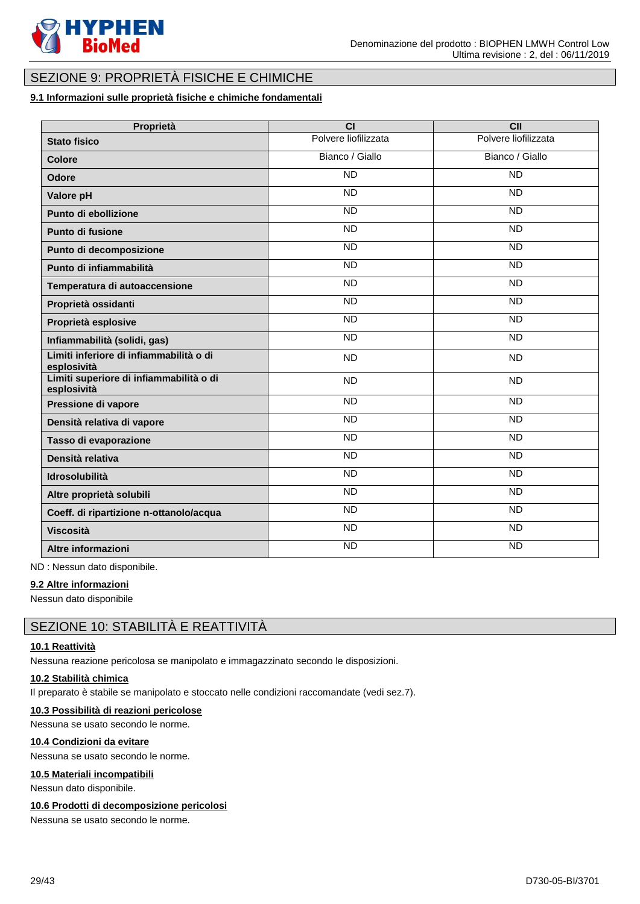

# SEZIONE 9: PROPRIETÀ FISICHE E CHIMICHE

### **9.1 Informazioni sulle proprietà fisiche e chimiche fondamentali**

| Proprietà                                              | $\overline{c}$       | $\overline{c}$       |
|--------------------------------------------------------|----------------------|----------------------|
| <b>Stato fisico</b>                                    | Polvere liofilizzata | Polvere liofilizzata |
| <b>Colore</b>                                          | Bianco / Giallo      | Bianco / Giallo      |
| <b>Odore</b>                                           | <b>ND</b>            | <b>ND</b>            |
| Valore pH                                              | <b>ND</b>            | <b>ND</b>            |
| Punto di ebollizione                                   | <b>ND</b>            | $\overline{ND}$      |
| Punto di fusione                                       | $\overline{ND}$      | <b>ND</b>            |
| Punto di decomposizione                                | <b>ND</b>            | <b>ND</b>            |
| Punto di infiammabilità                                | <b>ND</b>            | <b>ND</b>            |
| Temperatura di autoaccensione                          | $\overline{ND}$      | $\overline{ND}$      |
| Proprietà ossidanti                                    | $\overline{ND}$      | <b>ND</b>            |
| Proprietà esplosive                                    | <b>ND</b>            | <b>ND</b>            |
| Infiammabilità (solidi, gas)                           | <b>ND</b>            | <b>ND</b>            |
| Limiti inferiore di infiammabilità o di<br>esplosività | <b>ND</b>            | <b>ND</b>            |
| Limiti superiore di infiammabilità o di<br>esplosività | <b>ND</b>            | <b>ND</b>            |
| Pressione di vapore                                    | $\overline{ND}$      | <b>ND</b>            |
| Densità relativa di vapore                             | <b>ND</b>            | <b>ND</b>            |
| Tasso di evaporazione                                  | <b>ND</b>            | $\overline{ND}$      |
| Densità relativa                                       | $\overline{ND}$      | $\overline{ND}$      |
| <b>Idrosolubilità</b>                                  | $\overline{ND}$      | $\overline{ND}$      |
| Altre proprietà solubili                               | <b>ND</b>            | <b>ND</b>            |
| Coeff. di ripartizione n-ottanolo/acqua                | <b>ND</b>            | <b>ND</b>            |
| <b>Viscosità</b>                                       | $\overline{ND}$      | $\overline{ND}$      |
| Altre informazioni                                     | <b>ND</b>            | <b>ND</b>            |

ND : Nessun dato disponibile.

#### **9.2 Altre informazioni**

Nessun dato disponibile

# SEZIONE 10: STABILITÀ E REATTIVITÀ

# **10.1 Reattività**

Nessuna reazione pericolosa se manipolato e immagazzinato secondo le disposizioni.

#### **10.2 Stabilità chimica**

Il preparato è stabile se manipolato e stoccato nelle condizioni raccomandate (vedi sez.7).

#### **10.3 Possibilità di reazioni pericolose**

Nessuna se usato secondo le norme.

### **10.4 Condizioni da evitare**

Nessuna se usato secondo le norme.

#### **10.5 Materiali incompatibili**

Nessun dato disponibile.

#### **10.6 Prodotti di decomposizione pericolosi**

Nessuna se usato secondo le norme.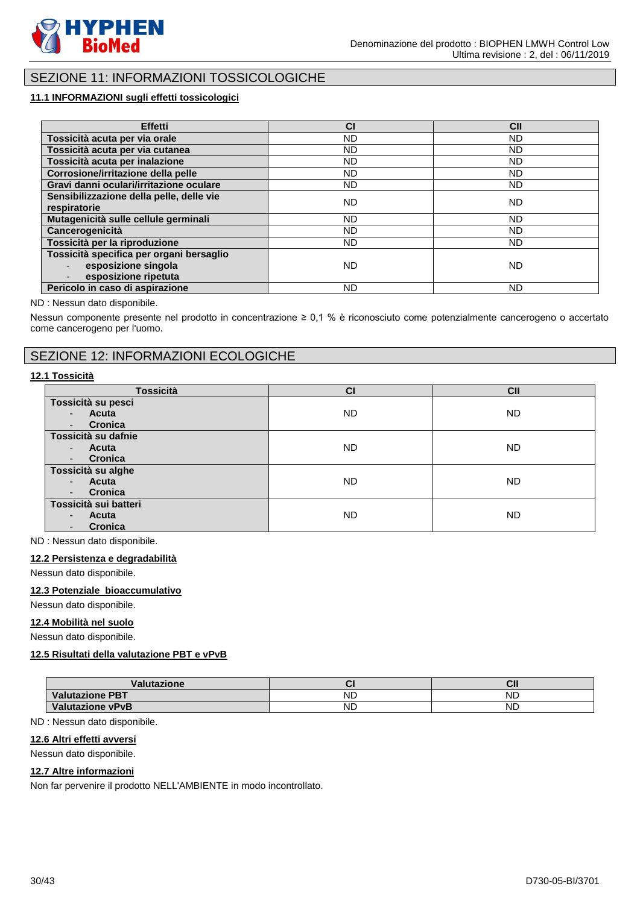

# SEZIONE 11: INFORMAZIONI TOSSICOLOGICHE

# **11.1 INFORMAZIONI sugli effetti tossicologici**

| Effetti                                                                                 | <b>CI</b> | <b>CII</b> |
|-----------------------------------------------------------------------------------------|-----------|------------|
| Tossicità acuta per via orale                                                           | ND.       | <b>ND</b>  |
| Tossicità acuta per via cutanea                                                         | ND        | <b>ND</b>  |
| Tossicità acuta per inalazione                                                          | ND.       | <b>ND</b>  |
| Corrosione/irritazione della pelle                                                      | ND        | <b>ND</b>  |
| Gravi danni oculari/irritazione oculare                                                 | ND.       | <b>ND</b>  |
| Sensibilizzazione della pelle, delle vie<br>respiratorie                                | ND.       | ND         |
| Mutagenicità sulle cellule germinali                                                    | ND.       | <b>ND</b>  |
| Cancerogenicità                                                                         | ND.       | <b>ND</b>  |
| Tossicità per la riproduzione                                                           | ND.       | <b>ND</b>  |
| Tossicità specifica per organi bersaglio<br>esposizione singola<br>esposizione ripetuta | ND.       | ND         |
| Pericolo in caso di aspirazione                                                         | <b>ND</b> | <b>ND</b>  |

#### ND : Nessun dato disponibile.

Nessun componente presente nel prodotto in concentrazione ≥ 0,1 % è riconosciuto come potenzialmente cancerogeno o accertato come cancerogeno per l'uomo.

# SEZIONE 12: INFORMAZIONI ECOLOGICHE

#### **12.1 Tossicità**

| <b>Tossicità</b>                           | CI  | <b>CII</b> |
|--------------------------------------------|-----|------------|
| Tossicità su pesci                         |     |            |
| Acuta<br>$\sim$                            | ND. | ND.        |
| <b>Cronica</b><br>$\overline{\phantom{a}}$ |     |            |
| Tossicità su dafnie                        |     |            |
| Acuta<br>$\sim$                            | ND. | <b>ND</b>  |
| <b>Cronica</b><br>$\overline{\phantom{a}}$ |     |            |
| Tossicità su alghe                         |     |            |
| Acuta<br>$\overline{\phantom{a}}$          | ND. | <b>ND</b>  |
| <b>Cronica</b><br>$\overline{\phantom{a}}$ |     |            |
| Tossicità sui batteri                      |     |            |
| Acuta<br>$\blacksquare$                    | ND. | <b>ND</b>  |
| Cronica                                    |     |            |

ND : Nessun dato disponibile.

#### **12.2 Persistenza e degradabilità**

Nessun dato disponibile.

#### **12.3 Potenziale bioaccumulativo**

Nessun dato disponibile.

#### **12.4 Mobilità nel suolo**

Nessun dato disponibile.

### **12.5 Risultati della valutazione PBT e vPvB**

| <b>Valutazione</b>      |           | vı.       |
|-------------------------|-----------|-----------|
| <b>Valutazione PBT</b>  | <b>ND</b> | <b>ND</b> |
| <b>Valutazione vPvB</b> | ND        | <b>ND</b> |

ND : Nessun dato disponibile.

#### **12.6 Altri effetti avversi**

Nessun dato disponibile.

#### **12.7 Altre informazioni**

Non far pervenire il prodotto NELL'AMBIENTE in modo incontrollato.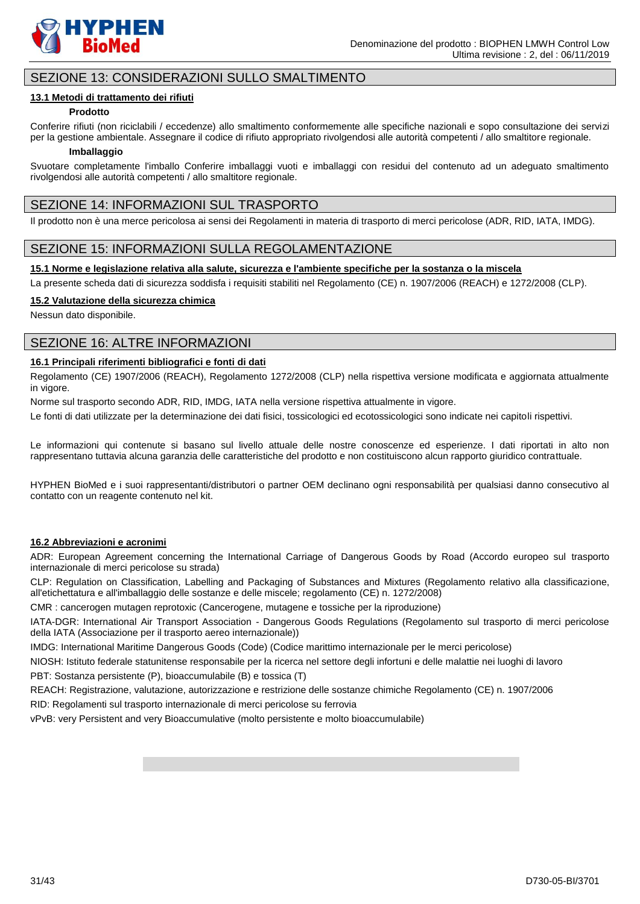

# SEZIONE 13: CONSIDERAZIONI SULLO SMALTIMENTO

#### **13.1 Metodi di trattamento dei rifiuti**

#### **Prodotto**

Conferire rifiuti (non riciclabili / eccedenze) allo smaltimento conformemente alle specifiche nazionali e sopo consultazione dei servizi per la gestione ambientale. Assegnare il codice di rifiuto appropriato rivolgendosi alle autorità competenti / allo smaltitore regionale.

#### **Imballaggio**

Svuotare completamente l'imballo Conferire imballaggi vuoti e imballaggi con residui del contenuto ad un adeguato smaltimento rivolgendosi alle autorità competenti / allo smaltitore regionale.

# SEZIONE 14: INFORMAZIONI SUL TRASPORTO

Il prodotto non è una merce pericolosa ai sensi dei Regolamenti in materia di trasporto di merci pericolose (ADR, RID, IATA, IMDG).

# SEZIONE 15: INFORMAZIONI SULLA REGOLAMENTAZIONE

#### **15.1 Norme e legislazione relativa alla salute, sicurezza e l'ambiente specifiche per la sostanza o la miscela**

La presente scheda dati di sicurezza soddisfa i requisiti stabiliti nel Regolamento (CE) n. 1907/2006 (REACH) e 1272/2008 (CLP).

#### **15.2 Valutazione della sicurezza chimica**

Nessun dato disponibile.

# SEZIONE 16: ALTRE INFORMAZIONI

# **16.1 Principali riferimenti bibliografici e fonti di dati**

Regolamento (CE) 1907/2006 (REACH), Regolamento 1272/2008 (CLP) nella rispettiva versione modificata e aggiornata attualmente in vigore.

Norme sul trasporto secondo ADR, RID, IMDG, IATA nella versione rispettiva attualmente in vigore.

Le fonti di dati utilizzate per la determinazione dei dati fisici, tossicologici ed ecotossicologici sono indicate nei capitoli rispettivi.

Le informazioni qui contenute si basano sul livello attuale delle nostre conoscenze ed esperienze. I dati riportati in alto non rappresentano tuttavia alcuna garanzia delle caratteristiche del prodotto e non costituiscono alcun rapporto giuridico contrattuale.

HYPHEN BioMed e i suoi rappresentanti/distributori o partner OEM declinano ogni responsabilità per qualsiasi danno consecutivo al contatto con un reagente contenuto nel kit.

#### **16.2 Abbreviazioni e acronimi**

ADR: European Agreement concerning the International Carriage of Dangerous Goods by Road (Accordo europeo sul trasporto internazionale di merci pericolose su strada)

CLP: Regulation on Classification, Labelling and Packaging of Substances and Mixtures (Regolamento relativo alla classificazione, all'etichettatura e all'imballaggio delle sostanze e delle miscele; regolamento (CE) n. 1272/2008)

CMR : cancerogen mutagen reprotoxic (Cancerogene, mutagene e tossiche per la riproduzione)

IATA-DGR: International Air Transport Association - Dangerous Goods Regulations (Regolamento sul trasporto di merci pericolose della IATA (Associazione per il trasporto aereo internazionale))

IMDG: International Maritime Dangerous Goods (Code) (Codice marittimo internazionale per le merci pericolose)

NIOSH: Istituto federale statunitense responsabile per la ricerca nel settore degli infortuni e delle malattie nei luoghi di lavoro

PBT: Sostanza persistente (P), bioaccumulabile (B) e tossica (T)

REACH: Registrazione, valutazione, autorizzazione e restrizione delle sostanze chimiche Regolamento (CE) n. 1907/2006

RID: Regolamenti sul trasporto internazionale di merci pericolose su ferrovia

vPvB: very Persistent and very Bioaccumulative (molto persistente e molto bioaccumulabile)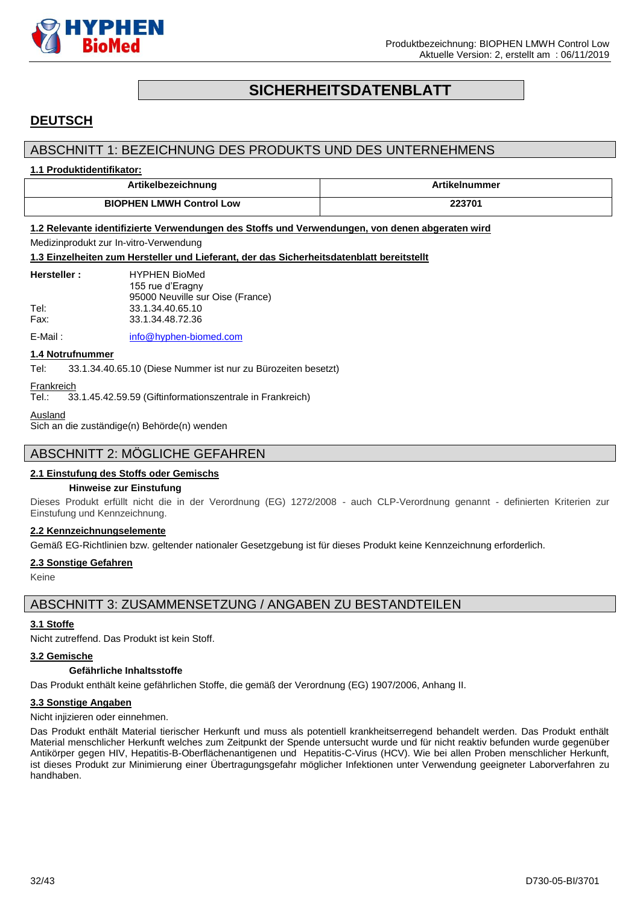

# **SICHERHEITSDATENBLATT**

# <span id="page-31-0"></span>**DEUTSCH**

# ABSCHNITT 1: BEZEICHNUNG DES PRODUKTS UND DES UNTERNEHMENS

#### **1.1 Produktidentifikator:**

| Artikelbezeichnung              |        |
|---------------------------------|--------|
| <b>BIOPHEN LMWH Control Low</b> | 223701 |

# **1.2 Relevante identifizierte Verwendungen des Stoffs und Verwendungen, von denen abgeraten wird**

# Medizinprodukt zur In-vitro-Verwendung

**1.3 Einzelheiten zum Hersteller und Lieferant, der das Sicherheitsdatenblatt bereitstellt**

| Hersteller: | <b>HYPHEN BioMed</b>             |
|-------------|----------------------------------|
|             | 155 rue d'Eragny                 |
|             | 95000 Neuville sur Oise (France) |
| Tel:        | 33.1.34.40.65.10                 |
| Fax:        | 33.1.34.48.72.36                 |
|             |                                  |

E-Mail: [info@hyphen-biomed.com](mailto:info@hyphen-biomed.com)

#### **1.4 Notrufnummer**

Tel: 33.1.34.40.65.10 (Diese Nummer ist nur zu Bürozeiten besetzt)

Frankreich

Tel.: 33.1.45.42.59.59 (Giftinformationszentrale in Frankreich)

Ausland

Sich an die zuständige(n) Behörde(n) wenden

# ABSCHNITT 2: MÖGLICHE GEFAHREN

#### **2.1 Einstufung des Stoffs oder Gemischs**

#### **Hinweise zur Einstufung**

Dieses Produkt erfüllt nicht die in der Verordnung (EG) 1272/2008 - auch CLP-Verordnung genannt - definierten Kriterien zur Einstufung und Kennzeichnung.

#### **2.2 Kennzeichnungselemente**

Gemäß EG-Richtlinien bzw. geltender nationaler Gesetzgebung ist für dieses Produkt keine Kennzeichnung erforderlich.

#### **2.3 Sonstige Gefahren**

Keine

# ABSCHNITT 3: ZUSAMMENSETZUNG / ANGABEN ZU BESTANDTEILEN

#### **3.1 Stoffe**

Nicht zutreffend. Das Produkt ist kein Stoff.

#### **3.2 Gemische**

#### **Gefährliche Inhaltsstoffe**

Das Produkt enthält keine gefährlichen Stoffe, die gemäß der Verordnung (EG) 1907/2006, Anhang II.

### **3.3 Sonstige Angaben**

Nicht injizieren oder einnehmen.

Das Produkt enthält Material tierischer Herkunft und muss als potentiell krankheitserregend behandelt werden. Das Produkt enthält Material menschlicher Herkunft welches zum Zeitpunkt der Spende untersucht wurde und für nicht reaktiv befunden wurde gegenüber Antikörper gegen HIV, Hepatitis-B-Oberflächenantigenen und Hepatitis-C-Virus (HCV). Wie bei allen Proben menschlicher Herkunft, ist dieses Produkt zur Minimierung einer Übertragungsgefahr möglicher Infektionen unter Verwendung geeigneter Laborverfahren zu handhaben.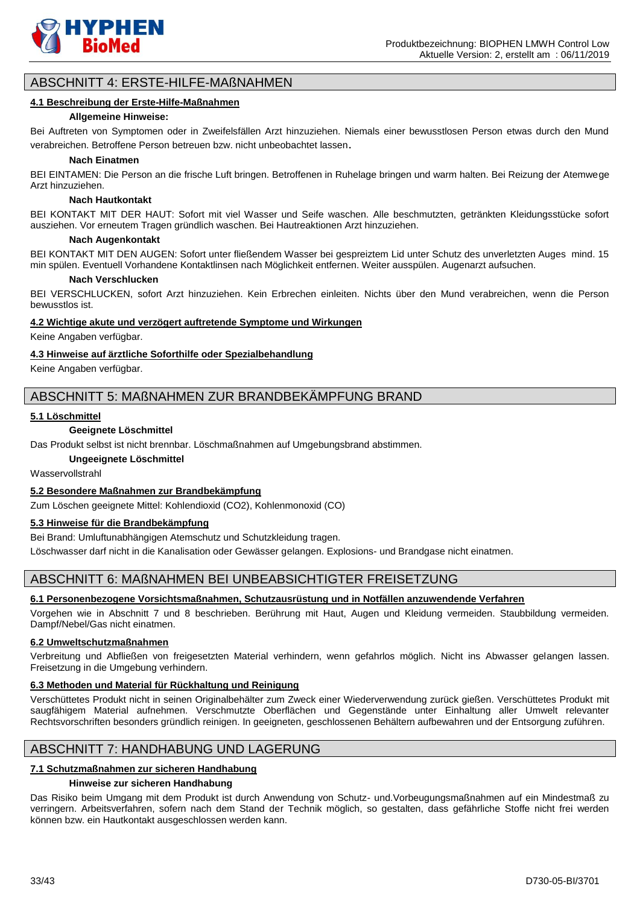

# ABSCHNITT 4: ERSTE-HILFE-MAßNAHMEN

#### **4.1 Beschreibung der Erste-Hilfe-Maßnahmen**

#### **Allgemeine Hinweise:**

Bei Auftreten von Symptomen oder in Zweifelsfällen Arzt hinzuziehen. Niemals einer bewusstlosen Person etwas durch den Mund verabreichen. Betroffene Person betreuen bzw. nicht unbeobachtet lassen.

#### **Nach Einatmen**

BEI EINTAMEN: Die Person an die frische Luft bringen. Betroffenen in Ruhelage bringen und warm halten. Bei Reizung der Atemwege Arzt hinzuziehen.

#### **Nach Hautkontakt**

BEI KONTAKT MIT DER HAUT: Sofort mit viel Wasser und Seife waschen. Alle beschmutzten, getränkten Kleidungsstücke sofort ausziehen. Vor erneutem Tragen gründlich waschen. Bei Hautreaktionen Arzt hinzuziehen.

#### **Nach Augenkontakt**

BEI KONTAKT MIT DEN AUGEN: Sofort unter fließendem Wasser bei gespreiztem Lid unter Schutz des unverletzten Auges mind. 15 min spülen. Eventuell Vorhandene Kontaktlinsen nach Möglichkeit entfernen. Weiter ausspülen. Augenarzt aufsuchen.

#### **Nach Verschlucken**

BEI VERSCHLUCKEN, sofort Arzt hinzuziehen. Kein Erbrechen einleiten. Nichts über den Mund verabreichen, wenn die Person bewusstlos ist.

#### **4.2 Wichtige akute und verzögert auftretende Symptome und Wirkungen**

Keine Angaben verfügbar.

#### **4.3 Hinweise auf ärztliche Soforthilfe oder Spezialbehandlung**

Keine Angaben verfügbar.

# ABSCHNITT 5: MAßNAHMEN ZUR BRANDBEKÄMPFUNG BRAND

#### **5.1 Löschmittel**

#### **Geeignete Löschmittel**

Das Produkt selbst ist nicht brennbar. Löschmaßnahmen auf Umgebungsbrand abstimmen.

#### **Ungeeignete Löschmittel**

Wasservollstrahl

#### **5.2 Besondere Maßnahmen zur Brandbekämpfung**

Zum Löschen geeignete Mittel: Kohlendioxid (CO2), Kohlenmonoxid (CO)

#### **5.3 Hinweise für die Brandbekämpfung**

Bei Brand: Umluftunabhängigen Atemschutz und Schutzkleidung tragen.

Löschwasser darf nicht in die Kanalisation oder Gewässer gelangen. Explosions- und Brandgase nicht einatmen.

# ABSCHNITT 6: MAßNAHMEN BEI UNBEABSICHTIGTER FREISETZUNG

#### **6.1 Personenbezogene Vorsichtsmaßnahmen, Schutzausrüstung und in Notfällen anzuwendende Verfahren**

Vorgehen wie in Abschnitt 7 und 8 beschrieben. Berührung mit Haut, Augen und Kleidung vermeiden. Staubbildung vermeiden. Dampf/Nebel/Gas nicht einatmen.

#### **6.2 Umweltschutzmaßnahmen**

Verbreitung und Abfließen von freigesetzten Material verhindern, wenn gefahrlos möglich. Nicht ins Abwasser gelangen lassen. Freisetzung in die Umgebung verhindern.

#### **6.3 Methoden und Material für Rückhaltung und Reinigung**

Verschüttetes Produkt nicht in seinen Originalbehälter zum Zweck einer Wiederverwendung zurück gießen. Verschüttetes Produkt mit saugfähigem Material aufnehmen. Verschmutzte Oberflächen und Gegenstände unter Einhaltung aller Umwelt relevanter Rechtsvorschriften besonders gründlich reinigen. In geeigneten, geschlossenen Behältern aufbewahren und der Entsorgung zuführen.

# ABSCHNITT 7: HANDHABUNG UND LAGERUNG

#### **7.1 Schutzmaßnahmen zur sicheren Handhabung**

#### **Hinweise zur sicheren Handhabung**

Das Risiko beim Umgang mit dem Produkt ist durch Anwendung von Schutz- und.Vorbeugungsmaßnahmen auf ein Mindestmaß zu verringern. Arbeitsverfahren, sofern nach dem Stand der Technik möglich, so gestalten, dass gefährliche Stoffe nicht frei werden können bzw. ein Hautkontakt ausgeschlossen werden kann.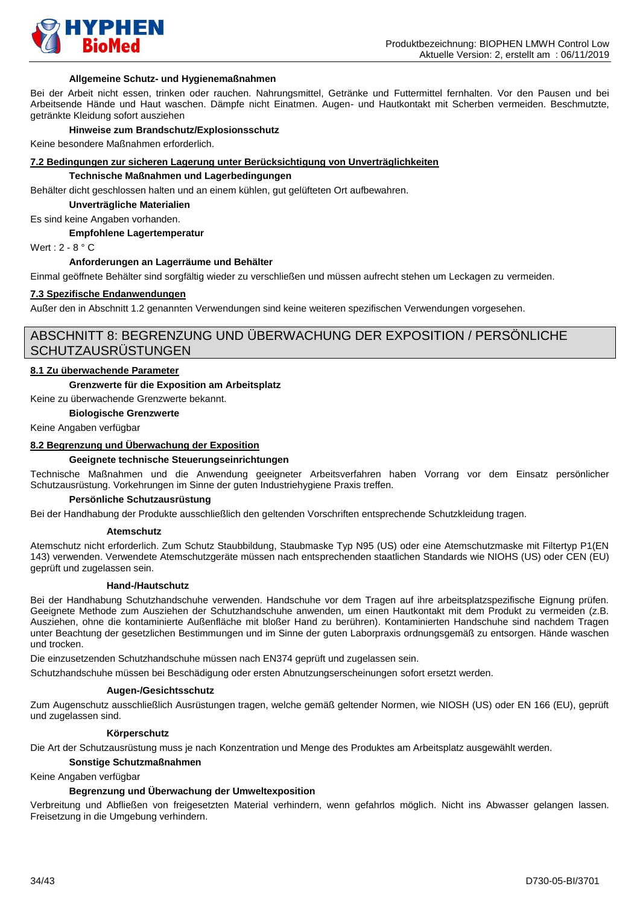

#### **Allgemeine Schutz- und Hygienemaßnahmen**

Bei der Arbeit nicht essen, trinken oder rauchen. Nahrungsmittel, Getränke und Futtermittel fernhalten. Vor den Pausen und bei Arbeitsende Hände und Haut waschen. Dämpfe nicht Einatmen. Augen- und Hautkontakt mit Scherben vermeiden. Beschmutzte, getränkte Kleidung sofort ausziehen

#### **Hinweise zum Brandschutz/Explosionsschutz**

Keine besondere Maßnahmen erforderlich.

#### **7.2 Bedingungen zur sicheren Lagerung unter Berücksichtigung von Unverträglichkeiten**

#### **Technische Maßnahmen und Lagerbedingungen**

Behälter dicht geschlossen halten und an einem kühlen, gut gelüfteten Ort aufbewahren.

**Unverträgliche Materialien**

Es sind keine Angaben vorhanden.

**Empfohlene Lagertemperatur**

Wert : 2 - 8 ° C

#### **Anforderungen an Lagerräume und Behälter**

Einmal geöffnete Behälter sind sorgfältig wieder zu verschließen und müssen aufrecht stehen um Leckagen zu vermeiden.

#### **7.3 Spezifische Endanwendungen**

Außer den in Abschnitt 1.2 genannten Verwendungen sind keine weiteren spezifischen Verwendungen vorgesehen.

# ABSCHNITT 8: BEGRENZUNG UND ÜBERWACHUNG DER EXPOSITION / PERSÖNLICHE SCHUTZAUSRÜSTUNGEN

#### **8.1 Zu überwachende Parameter**

#### **Grenzwerte für die Exposition am Arbeitsplatz**

Keine zu überwachende Grenzwerte bekannt.

**Biologische Grenzwerte**

Keine Angaben verfügbar

#### **8.2 Begrenzung und Überwachung der Exposition**

#### **Geeignete technische Steuerungseinrichtungen**

Technische Maßnahmen und die Anwendung geeigneter Arbeitsverfahren haben Vorrang vor dem Einsatz persönlicher Schutzausrüstung. Vorkehrungen im Sinne der guten Industriehygiene Praxis treffen.

#### **Persönliche Schutzausrüstung**

Bei der Handhabung der Produkte ausschließlich den geltenden Vorschriften entsprechende Schutzkleidung tragen.

#### **Atemschutz**

Atemschutz nicht erforderlich. Zum Schutz Staubbildung, Staubmaske Typ N95 (US) oder eine Atemschutzmaske mit Filtertyp P1(EN 143) verwenden. Verwendete Atemschutzgeräte müssen nach entsprechenden staatlichen Standards wie NIOHS (US) oder CEN (EU) geprüft und zugelassen sein.

#### **Hand-/Hautschutz**

Bei der Handhabung Schutzhandschuhe verwenden. Handschuhe vor dem Tragen auf ihre arbeitsplatzspezifische Eignung prüfen. Geeignete Methode zum Ausziehen der Schutzhandschuhe anwenden, um einen Hautkontakt mit dem Produkt zu vermeiden (z.B. Ausziehen, ohne die kontaminierte Außenfläche mit bloßer Hand zu berühren). Kontaminierten Handschuhe sind nachdem Tragen unter Beachtung der gesetzlichen Bestimmungen und im Sinne der guten Laborpraxis ordnungsgemäß zu entsorgen. Hände waschen und trocken.

Die einzusetzenden Schutzhandschuhe müssen nach EN374 geprüft und zugelassen sein.

Schutzhandschuhe müssen bei Beschädigung oder ersten Abnutzungserscheinungen sofort ersetzt werden.

#### **Augen-/Gesichtsschutz**

Zum Augenschutz ausschließlich Ausrüstungen tragen, welche gemäß geltender Normen, wie NIOSH (US) oder EN 166 (EU), geprüft und zugelassen sind.

#### **Körperschutz**

Die Art der Schutzausrüstung muss je nach Konzentration und Menge des Produktes am Arbeitsplatz ausgewählt werden.

#### **Sonstige Schutzmaßnahmen**

Keine Angaben verfügbar

#### **Begrenzung und Überwachung der Umweltexposition**

Verbreitung und Abfließen von freigesetzten Material verhindern, wenn gefahrlos möglich. Nicht ins Abwasser gelangen lassen. Freisetzung in die Umgebung verhindern.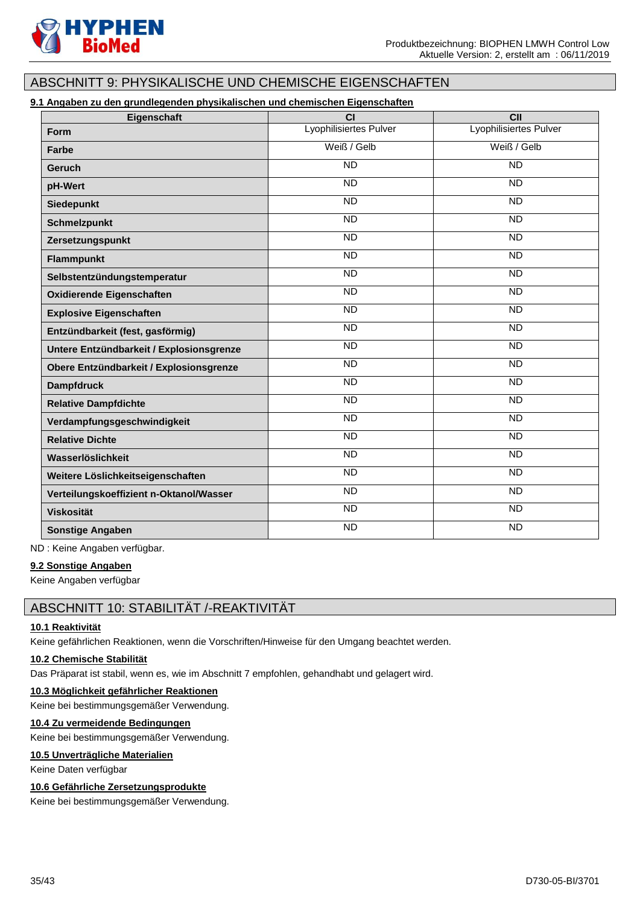

# ABSCHNITT 9: PHYSIKALISCHE UND CHEMISCHE EIGENSCHAFTEN

# **9.1 Angaben zu den grundlegenden physikalischen und chemischen Eigenschaften**

| Eigenschaft                              | <b>CI</b>              | $\overline{C}$         |
|------------------------------------------|------------------------|------------------------|
| Form                                     | Lyophilisiertes Pulver | Lyophilisiertes Pulver |
| Farbe                                    | Weiß / Gelb            | Weiß / Gelb            |
| Geruch                                   | <b>ND</b>              | <b>ND</b>              |
| pH-Wert                                  | $\overline{ND}$        | $\overline{ND}$        |
| Siedepunkt                               | <b>ND</b>              | <b>ND</b>              |
| <b>Schmelzpunkt</b>                      | <b>ND</b>              | <b>ND</b>              |
| Zersetzungspunkt                         | <b>ND</b>              | <b>ND</b>              |
| <b>Flammpunkt</b>                        | <b>ND</b>              | <b>ND</b>              |
| Selbstentzündungstemperatur              | <b>ND</b>              | <b>ND</b>              |
| <b>Oxidierende Eigenschaften</b>         | $\overline{ND}$        | $\overline{ND}$        |
| <b>Explosive Eigenschaften</b>           | <b>ND</b>              | <b>ND</b>              |
| Entzündbarkeit (fest, gasförmig)         | ND                     | <b>ND</b>              |
| Untere Entzündbarkeit / Explosionsgrenze | <b>ND</b>              | <b>ND</b>              |
| Obere Entzündbarkeit / Explosionsgrenze  | <b>ND</b>              | $\overline{ND}$        |
| <b>Dampfdruck</b>                        | <b>ND</b>              | $\overline{ND}$        |
| <b>Relative Dampfdichte</b>              | $\overline{ND}$        | $\overline{ND}$        |
| Verdampfungsgeschwindigkeit              | <b>ND</b>              | <b>ND</b>              |
| <b>Relative Dichte</b>                   | $\overline{ND}$        | <b>ND</b>              |
| Wasserlöslichkeit                        | <b>ND</b>              | <b>ND</b>              |
| Weitere Löslichkeitseigenschaften        | <b>ND</b>              | $\overline{ND}$        |
| Verteilungskoeffizient n-Oktanol/Wasser  | <b>ND</b>              | <b>ND</b>              |
| <b>Viskosität</b>                        | $\overline{ND}$        | $\overline{ND}$        |
| <b>Sonstige Angaben</b>                  | <b>ND</b>              | <b>ND</b>              |

ND : Keine Angaben verfügbar.

#### **9.2 Sonstige Angaben**

Keine Angaben verfügbar

# ABSCHNITT 10: STABILITÄT /-REAKTIVITÄT

#### **10.1 Reaktivität**

Keine gefährlichen Reaktionen, wenn die Vorschriften/Hinweise für den Umgang beachtet werden.

#### **10.2 Chemische Stabilität**

Das Präparat ist stabil, wenn es, wie im Abschnitt 7 empfohlen, gehandhabt und gelagert wird.

#### **10.3 Möglichkeit gefährlicher Reaktionen**

Keine bei bestimmungsgemäßer Verwendung.

#### **10.4 Zu vermeidende Bedingungen**

Keine bei bestimmungsgemäßer Verwendung.

#### **10.5 Unverträgliche Materialien**

Keine Daten verfügbar

#### **10.6 Gefährliche Zersetzungsprodukte**

Keine bei bestimmungsgemäßer Verwendung.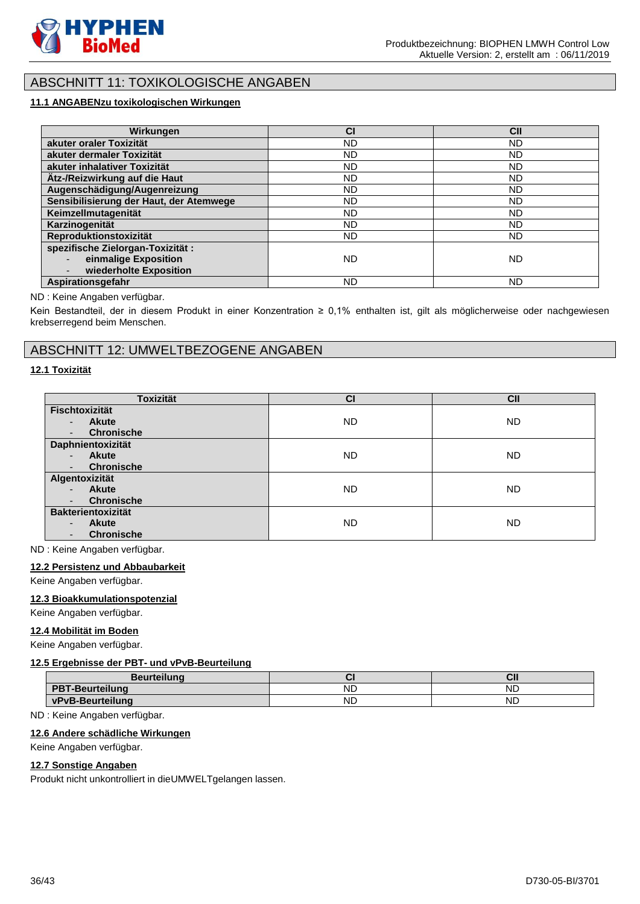

# ABSCHNITT 11: TOXIKOLOGISCHE ANGABEN

# **11.1 ANGABENzu toxikologischen Wirkungen**

| Wirkungen                               | <b>CI</b> | C <sub>II</sub> |
|-----------------------------------------|-----------|-----------------|
| akuter oraler Toxizität                 | ND.       | <b>ND</b>       |
| akuter dermaler Toxizität               | ND.       | <b>ND</b>       |
| akuter inhalativer Toxizität            | ND.       | <b>ND</b>       |
| Ätz-/Reizwirkung auf die Haut           | ND.       | <b>ND</b>       |
| Augenschädigung/Augenreizung            | ND.       | <b>ND</b>       |
| Sensibilisierung der Haut, der Atemwege | ND.       | <b>ND</b>       |
| Keimzellmutagenität                     | ND.       | <b>ND</b>       |
| Karzinogenität                          | ND.       | <b>ND</b>       |
| Reproduktionstoxizität                  | ND.       | ND.             |
| spezifische Zielorgan-Toxizität :       |           |                 |
| einmalige Exposition                    | ND.       | ND              |
| wiederholte Exposition                  |           |                 |
| Aspirationsgefahr                       | ND        | <b>ND</b>       |

#### ND : Keine Angaben verfügbar.

Kein Bestandteil, der in diesem Produkt in einer Konzentration ≥ 0,1% enthalten ist, gilt als möglicherweise oder nachgewiesen krebserregend beim Menschen.

# ABSCHNITT 12: UMWELTBEZOGENE ANGABEN

#### **12.1 Toxizität**

| <b>Toxizität</b>                         | <b>CI</b> | CII       |
|------------------------------------------|-----------|-----------|
| <b>Fischtoxizität</b>                    |           |           |
| <b>Akute</b><br>$\blacksquare$           | <b>ND</b> | <b>ND</b> |
| <b>Chronische</b>                        |           |           |
| Daphnientoxizität                        |           |           |
| Akute<br>$\overline{\phantom{0}}$        | ND.       | <b>ND</b> |
| <b>Chronische</b>                        |           |           |
| Algentoxizität                           |           |           |
| <b>Akute</b><br>$\overline{\phantom{0}}$ | ND.       | <b>ND</b> |
| <b>Chronische</b>                        |           |           |
| <b>Bakterientoxizität</b>                |           |           |
| <b>Akute</b><br>٠                        | ND.       | <b>ND</b> |
| <b>Chronische</b>                        |           |           |

ND : Keine Angaben verfügbar.

#### **12.2 Persistenz und Abbaubarkeit**

Keine Angaben verfügbar.

### **12.3 Bioakkumulationspotenzial**

Keine Angaben verfügbar.

### **12.4 Mobilität im Boden**

Keine Angaben verfügbar.

### **12.5 Ergebnisse der PBT- und vPvB-Beurteilung**

| <b>Beurteilung</b>     |    | `Ul⊾      |
|------------------------|----|-----------|
| <b>PBT-Beurteilung</b> | ΝD | ΝC        |
| vPvB-Beurteilung       | ΝD | <b>ND</b> |

ND : Keine Angaben verfügbar.

#### **12.6 Andere schädliche Wirkungen**

#### Keine Angaben verfügbar.

#### **12.7 Sonstige Angaben**

Produkt nicht unkontrolliert in dieUMWELTgelangen lassen.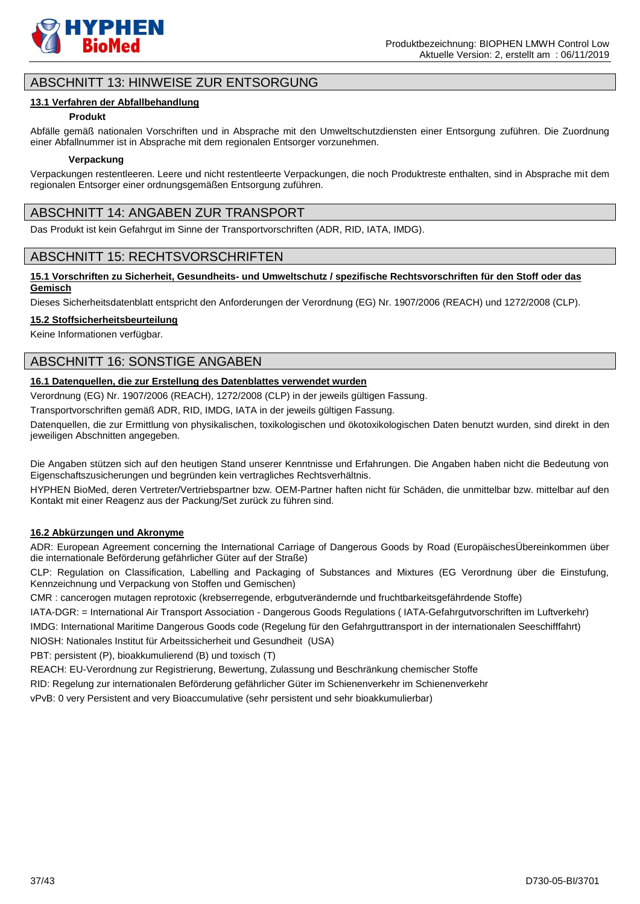

# ABSCHNITT 13: HINWEISE ZUR ENTSORGUNG

#### **13.1 Verfahren der Abfallbehandlung**

#### **Produkt**

Abfälle gemäß nationalen Vorschriften und in Absprache mit den Umweltschutzdiensten einer Entsorgung zuführen. Die Zuordnung einer Abfallnummer ist in Absprache mit dem regionalen Entsorger vorzunehmen.

#### **Verpackung**

Verpackungen restentleeren. Leere und nicht restentleerte Verpackungen, die noch Produktreste enthalten, sind in Absprache mit dem regionalen Entsorger einer ordnungsgemäßen Entsorgung zuführen.

# ABSCHNITT 14: ANGABEN ZUR TRANSPORT

Das Produkt ist kein Gefahrgut im Sinne der Transportvorschriften (ADR, RID, IATA, IMDG).

# ABSCHNITT 15: RECHTSVORSCHRIFTEN

#### **15.1 Vorschriften zu Sicherheit, Gesundheits- und Umweltschutz / spezifische Rechtsvorschriften für den Stoff oder das Gemisch**

Dieses Sicherheitsdatenblatt entspricht den Anforderungen der Verordnung (EG) Nr. 1907/2006 (REACH) und 1272/2008 (CLP).

#### **15.2 Stoffsicherheitsbeurteilung**

Keine Informationen verfügbar.

# ABSCHNITT 16: SONSTIGE ANGABEN

# **16.1 Datenquellen, die zur Erstellung des Datenblattes verwendet wurden**

Verordnung (EG) Nr. 1907/2006 (REACH), 1272/2008 (CLP) in der jeweils gültigen Fassung.

Transportvorschriften gemäß ADR, RID, IMDG, IATA in der jeweils gültigen Fassung.

Datenquellen, die zur Ermittlung von physikalischen, toxikologischen und ökotoxikologischen Daten benutzt wurden, sind direkt in den jeweiligen Abschnitten angegeben.

Die Angaben stützen sich auf den heutigen Stand unserer Kenntnisse und Erfahrungen. Die Angaben haben nicht die Bedeutung von Eigenschaftszusicherungen und begründen kein vertragliches Rechtsverhältnis.

HYPHEN BioMed, deren Vertreter/Vertriebspartner bzw. OEM-Partner haften nicht für Schäden, die unmittelbar bzw. mittelbar auf den Kontakt mit einer Reagenz aus der Packung/Set zurück zu führen sind.

#### **16.2 Abkürzungen und Akronyme**

ADR: European Agreement concerning the International Carriage of Dangerous Goods by Road (EuropäischesÜbereinkommen über die internationale Beförderung gefährlicher Güter auf der Straße)

CLP: Regulation on Classification, Labelling and Packaging of Substances and Mixtures (EG Verordnung über die Einstufung, Kennzeichnung und Verpackung von Stoffen und Gemischen)

CMR : cancerogen mutagen reprotoxic (krebserregende, erbgutverändernde und fruchtbarkeitsgefährdende Stoffe)

IATA-DGR: = International Air Transport Association - Dangerous Goods Regulations ( IATA-Gefahrgutvorschriften im Luftverkehr)

IMDG: International Maritime Dangerous Goods code (Regelung für den Gefahrguttransport in der internationalen Seeschifffahrt)

NIOSH: Nationales Institut für Arbeitssicherheit und Gesundheit (USA)

PBT: persistent (P), bioakkumulierend (B) und toxisch (T)

REACH: EU-Verordnung zur Registrierung, Bewertung, Zulassung und Beschränkung chemischer Stoffe

RID: Regelung zur internationalen Beförderung gefährlicher Güter im Schienenverkehr im Schienenverkehr

vPvB: 0 very Persistent and very Bioaccumulative (sehr persistent und sehr bioakkumulierbar)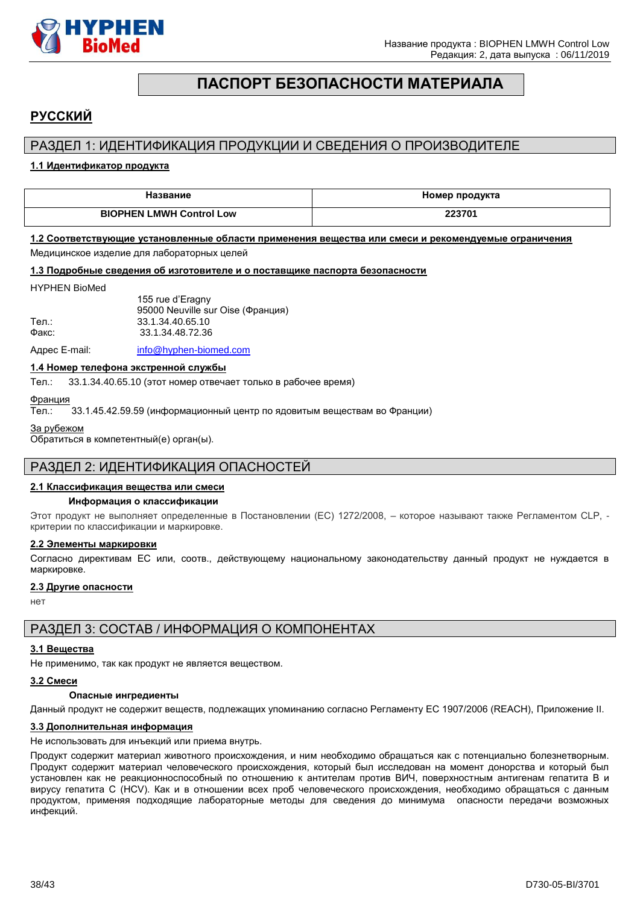

# **ПАСПОРТ БЕЗОПАСНОСТИ МАТЕРИАЛА**

# <span id="page-37-0"></span>**РУССКИЙ**

# РАЗДЕЛ 1: ИДЕНТИФИКАЦИЯ ПРОДУКЦИИ И СВЕДЕНИЯ О ПРОИЗВОДИТЕЛЕ

#### **1.1 Идентификатор продукта**

| Название                        | Номер продукта |
|---------------------------------|----------------|
| <b>BIOPHEN LMWH Control Low</b> | 223701         |

### **1.2 Соответствующие установленные области применения вещества или смеси и рекомендуемые ограничения**

Медицинское изделие для лабораторных целей

#### **1.3 Подробные сведения об изготовителе и о поставщике паспорта безопасности**

#### HYPHEN BioMed

|       | 155 rue d'Eragny                  |
|-------|-----------------------------------|
|       | 95000 Neuville sur Oise (Франция) |
| Тел.: | 33.1.34.40.65.10                  |
| Факс: | 33.1.34.48.72.36                  |
|       |                                   |

Адрес E-mail: [info@hyphen-biomed.com](mailto:info@hyphen-biomed.com)

#### **1.4 Номер телефона экстренной службы**

Тел.: 33.1.34.40.65.10 (этот номер отвечает только в рабочее время)

Франция

Тел.: 33.1.45.42.59.59 (информационный центр по ядовитым веществам во Франции)

За рубежом

Обратиться в компетентный(е) орган(ы).

# РАЗДЕЛ 2: ИДЕНТИФИКАЦИЯ ОПАСНОСТЕЙ

#### **2.1 Классификация вещества или смеси**

#### **Информация о классификации**

Этот продукт не выполняет определенные в Постановлении (EС) 1272/2008, – которое называют также Регламентом CLP, критерии по классификации и маркировке.

#### **2.2 Элементы маркировки**

Согласно директивам ЕС или, соотв., действующему национальному законодательству данный продукт не нуждается в маркировке.

#### **2.3 Другие опасности**

нет

# РАЗДЕЛ 3: СОСТАВ / ИНФОРМАЦИЯ О КОМПОНЕНТАХ

#### **3.1 Вещества**

Не применимо, так как продукт не является веществом.

#### **3.2 Смеси**

#### **Опасные ингредиенты**

Данный продукт не содержит веществ, подлежащих упоминанию согласно Регламенту ЕС 1907/2006 (REACH), Приложение II.

#### **3.3 Дополнительная информация**

Не использовать для инъекций или приема внутрь.

Продукт содержит материал животного происхождения, и ним необходимо обращаться как с потенциально болезнетворным. Продукт содержит материал человеческого происхождения, который был исследован на момент донорства и который был установлен как не реакционноспособный по отношению к антителам против ВИЧ, поверхностным антигенам гепатита B и вирусу гепатита C (HCV). Как и в отношении всех проб человеческого происхождения, необходимо обращаться с данным продуктом, применяя подходящие лабораторные методы для сведения до минимума опасности передачи возможных инфекций.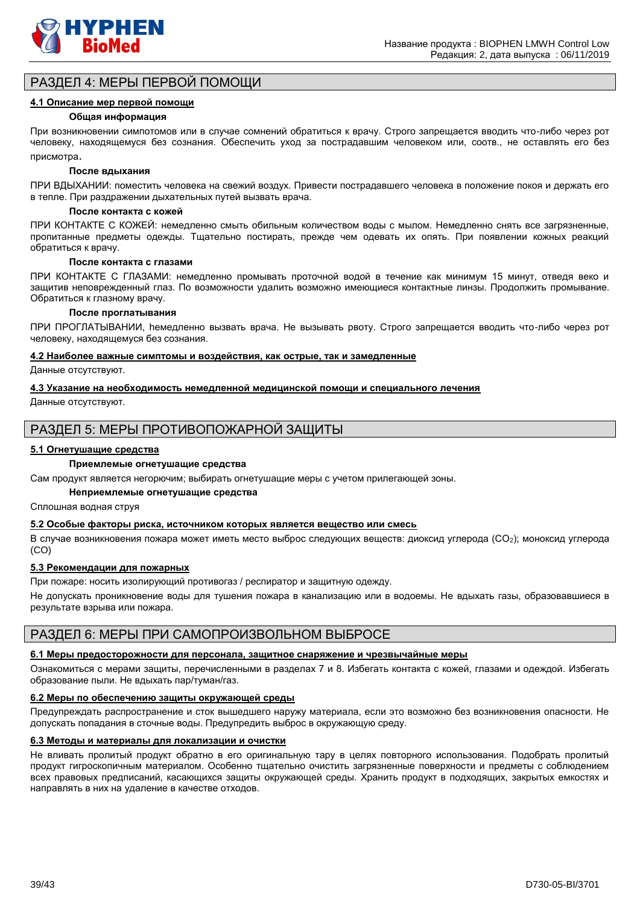

# РАЗДЕЛ 4: МЕРЫ ПЕРВОЙ ПОМОЩИ

#### **4.1 Описание мер первой помощи**

#### **Общая информация**

При возникновении cимпотомов или в случае сомнений обратиться к врачу. Строго запрещается вводить что-либо через рот человеку, находящемуся без сознания. Обеспечить уход за пострадавшим человеком или, соотв., не оставлять его без присмотра.

#### **После вдыхания**

ПРИ ВДЫХАНИИ: поместить человека на свежий воздух. Привести пострадавшего человека в положение покоя и держать его в тепле. При раздражении дыхательных путей вызвать врача.

#### **После контакта с кожей**

ПРИ КОНТАКТЕ С КОЖЕЙ: немедленно смыть обильным количеством воды с мылом. Немедленно снять все загрязненные, пропитанные предметы одежды. Тщательно постирать, прежде чем одевать их опять. При появлении кожных реакций обратиться к врачу.

#### **После контакта с глазами**

ПРИ КОНТАКТЕ С ГЛАЗАМИ: немедленно промывать проточной водой в течение как минимум 15 минут, отведя веко и защитив неповрежденный глаз. По возможности удалить возможно имеющиеся контактные линзы. Продолжить промывание. Обратиться к глазному врачу.

#### **После проглатывания**

ПРИ ПРОГЛАТЫВАНИИ, hемедленно вызвать врача. Не вызывать рвоту. Строго запрещается вводить что-либо через рот человеку, находящемуся без сознания.

#### **4.2 Наиболее важные симптомы и воздействия, как острые, так и замедленные**

Данные отсутствуют.

#### **4.3 Указание на необходимость немедленной медицинской помощи и специального лечения**

Данные отсутствуют.

# РАЗДЕЛ 5: МЕРЫ ПРОТИВОПОЖАРНОЙ ЗАЩИТЫ

#### **5.1 Огнетушащие средства**

#### **Приемлемые огнетушащие средства**

Сам продукт является негорючим; выбирать огнетушащие меры с учетом прилегающей зоны.

#### **Неприемлемые огнетушащие средства**

Сплошная водная струя

#### **5.2 Особые факторы риска, источником которых является вещество или смесь**

В случае возникновения пожара может иметь место выброс следующих веществ: диоксид углерода (CO2); моноксид углерода (CO)

#### **5.3 Рекомендации для пожарных**

При пожаре: носить изолирующий противогаз / респиратор и защитную одежду.

Не допускать проникновение воды для тушения пожара в канализацию или в водоемы. Не вдыхать газы, образовавшиеся в результате взрыва или пожара.

# РАЗДЕЛ 6: МЕРЫ ПРИ САМОПРОИЗВОЛЬНОМ ВЫБРОСЕ

#### **6.1 Меры предосторожности для персонала, защитное снаряжение и чрезвычайные меры**

Ознакомиться с мерами защиты, перечисленными в разделах 7 и 8. Избегать контакта с кожей, глазами и одеждой. Избегать образование пыли. Не вдыхать пар/туман/газ.

#### **6.2 Меры по обеспечению защиты окружающей среды**

Предупреждать распространение и сток вышедшего наружу материала, если это возможно без возникновения опасности. Не допускать попадания в сточные воды. Предупредить выброс в окружающую среду.

#### **6.3 Методы и материалы для локализации и очистки**

Не вливать пролитый продукт обратно в его оригинальную тару в целях повторного использования. Подобрать пролитый продукт гигроскопичным материалом. Особенно тщательно очистить загрязненные поверхности и предметы с соблюдением всех правовых предписаний, касающихся защиты окружающей среды. Хранить продукт в подходящих, закрытых емкостях и направлять в них на удаление в качестве отходов.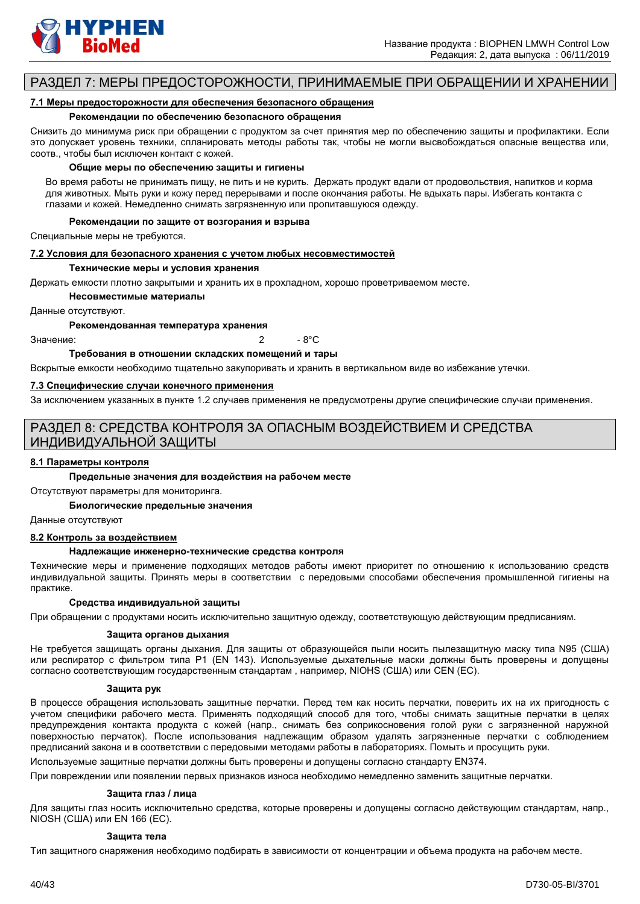

# РАЗДЕЛ 7: МЕРЫ ПРЕДОСТОРОЖНОСТИ, ПРИНИМАЕМЫЕ ПРИ ОБРАЩЕНИИ И ХРАНЕНИИ

#### **7.1 Меры предосторожности для обеспечения безопасного обращения**

#### **Рекомендации по обеспечению безопасного обращения**

Снизить до минимума риск при обращении с продуктом за счет принятия мер по обеспечению защиты и профилактики. Если это допускает уровень техники, спланировать методы работы так, чтобы не могли высвобождаться опасные вещества или, соотв., чтобы был исключен контакт с кожей.

#### **Общие меры по обеспечению защиты и гигиены**

Во время работы не принимать пищу, не пить и не курить. Держать продукт вдали от продовольствия, напитков и корма для животных. Мыть руки и кожу перед перерывами и после окончания работы. Не вдыхать пары. Избегать контакта с глазами и кожей. Немедленно снимать загрязненную или пропитавшуюся одежду.

#### **Рекомендации по защите от возгорания и взрыва**

Специальные меры не требуются.

#### **7.2 Условия для безопасного хранения с учетом любых несовместимостей**

#### **Технические меры и условия хранения**

Держать емкости плотно закрытыми и хранить их в прохладном, хорошо проветриваемом месте.

**Несовместимые материалы**

Данные отсутствуют.

#### **Рекомендованная температура хранения**

 $3$ начение:  $\overline{2}$  - 8°C

**Требования в отношении складских помещений и тары**

Вскрытые емкости необходимо тщательно закупоривать и хранить в вертикальном виде во избежание утечки.

#### **7.3 Специфические случаи конечного применения**

За исключением указанных в пункте 1.2 случаев применения не предусмотрены другие специфические случаи применения.

# РАЗДЕЛ 8: СРЕДСТВА КОНТРОЛЯ ЗА ОПАСНЫМ ВОЗДЕЙСТВИЕМ И СРЕДСТВА ИНДИВИДУАЛЬНОЙ ЗАЩИТЫ

#### **8.1 Параметры контроля**

#### **Предельные значения для воздействия на рабочем месте**

Отсутствуют параметры для мониторинга.

**Биологические предельные значения**

#### Данные отсутствуют

#### **8.2 Контроль за воздействием**

#### **Надлежащие инженерно-технические средства контроля**

Технические меры и применение подходящих методов работы имеют приоритет по отношению к использованию средств индивидуальной защиты. Принять меры в соответствии с передовыми способами обеспечения промышленной гигиены на практике.

#### **Средства индивидуальной защиты**

При обращении с продуктами носить исключительно защитную одежду, соответствующую действующим предписаниям.

#### **Защита органов дыхания**

Не требуется защищать органы дыхания. Для защиты от образующейся пыли носить пылезащитную маску типа N95 (США) или респиратор с фильтром типа P1 (EN 143). Используемые дыхательные маски должны быть проверены и допущены согласно соответствующим государственным стандартам , например, NIOHS (США) или CEN (EС).

#### **Защита рук**

В процессе обращения использовать защитные перчатки. Перед тем как носить перчатки, поверить их на их пригодность с учетом специфики рабочего места. Применять подходящий способ для того, чтобы снимать защитные перчатки в целях предупреждения контакта продукта с кожей (напр., снимать без соприкосновения голой руки с загрязненной наружной поверхностью перчаток). После использования надлежащим образом удалять загрязненные перчатки с соблюдением предписаний закона и в соответствии с передовыми методами работы в лабораториях. Помыть и просущить руки.

Используемые защитные перчатки должны быть проверены и допущены согласно стандарту EN374.

При повреждении или появлении первых признаков износа необходимо немедленно заменить защитные перчатки.

#### **Защита глаз / лица**

Для защиты глаз носить исключительно средства, которые проверены и допущены согласно действующим стандартам, напр., NIOSH (США) или EN 166 (EС).

#### **Защита тела**

Тип защитного снаряжения необходимо подбирать в зависимости от концентрации и объема продукта на рабочем месте.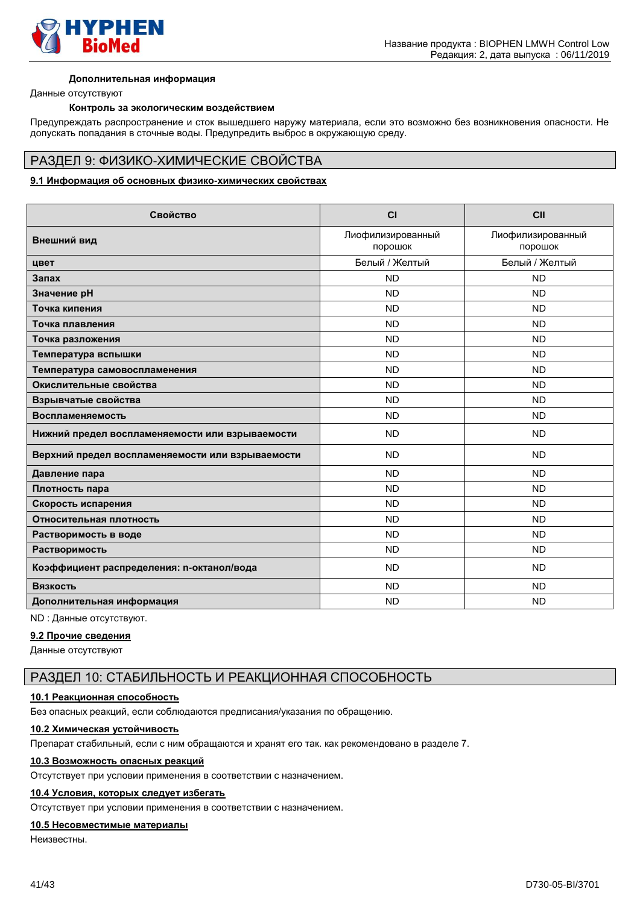

#### **Дополнительная информация**

Данные отсутствуют

#### **Контроль за экологическим воздействием**

Предупреждать распространение и сток вышедшего наружу материала, если это возможно без возникновения опасности. Не допускать попадания в сточные воды. Предупредить выброс в окружающую среду.

#### РАЗДЕЛ 9: ФИЗИКО-ХИМИЧЕСКИЕ СВОЙСТВА

#### **9.1 Информация об основных физико-химических свойствах**

| Свойство                                         | CI                           | CII                          |
|--------------------------------------------------|------------------------------|------------------------------|
| Внешний вид                                      | Лиофилизированный<br>порошок | Лиофилизированный<br>порошок |
| цвет                                             | Белый / Желтый               | Белый / Желтый               |
| Запах                                            | <b>ND</b>                    | <b>ND</b>                    |
| Значение рН                                      | <b>ND</b>                    | <b>ND</b>                    |
| Точка кипения                                    | <b>ND</b>                    | <b>ND</b>                    |
| Точка плавления                                  | <b>ND</b>                    | <b>ND</b>                    |
| Точка разложения                                 | <b>ND</b>                    | <b>ND</b>                    |
| Температура вспышки                              | <b>ND</b>                    | <b>ND</b>                    |
| Температура самовоспламенения                    | <b>ND</b>                    | <b>ND</b>                    |
| Окислительные свойства                           | <b>ND</b>                    | <b>ND</b>                    |
| Взрывчатые свойства                              | <b>ND</b>                    | <b>ND</b>                    |
| Воспламеняемость                                 | <b>ND</b>                    | <b>ND</b>                    |
| Нижний предел воспламеняемости или взрываемости  | <b>ND</b>                    | <b>ND</b>                    |
| Верхний предел воспламеняемости или взрываемости | <b>ND</b>                    | <b>ND</b>                    |
| Давление пара                                    | <b>ND</b>                    | <b>ND</b>                    |
| Плотность пара                                   | <b>ND</b>                    | <b>ND</b>                    |
| Скорость испарения                               | <b>ND</b>                    | <b>ND</b>                    |
| Относительная плотность                          | <b>ND</b>                    | <b>ND</b>                    |
| Растворимость в воде                             | <b>ND</b>                    | <b>ND</b>                    |
| Растворимость                                    | <b>ND</b>                    | <b>ND</b>                    |
| Коэффициент распределения: n-октанол/вода        | <b>ND</b>                    | <b>ND</b>                    |
| Вязкость                                         | <b>ND</b>                    | <b>ND</b>                    |
| Дополнительная информация                        | <b>ND</b>                    | <b>ND</b>                    |

# ND : Данные отсутствуют.

**9.2 Прочие сведения**

Данные отсутствуют

# РАЗДЕЛ 10: СТАБИЛЬНОСТЬ И РЕАКЦИОННАЯ СПОСОБНОСТЬ

#### **10.1 Реакционная способность**

Без опасных реакций, если соблюдаются предписания/указания по обращению.

#### **10.2 Химическая устойчивость**

Препарат стабильный, если с ним обращаются и хранят его так. как рекомендовано в разделе 7.

#### **10.3 Возможность опасных реакций**

Отсутствует при условии применения в соответствии с назначением.

#### **10.4 Условия, которых следует избегать**

Отсутствует при условии применения в соответствии с назначением.

### **10.5 Несовместимые материалы**

Неизвестны.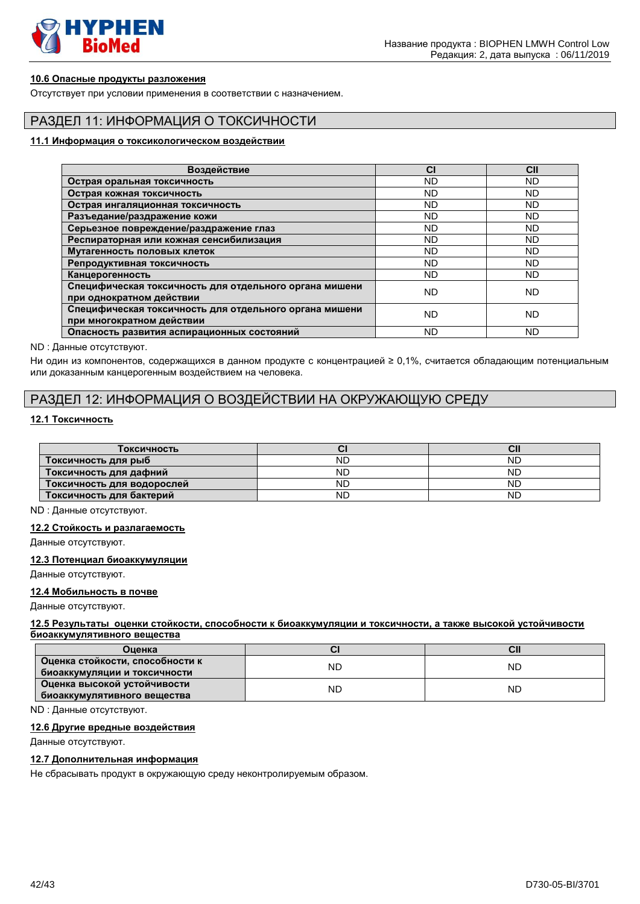

#### **10.6 Опасные продукты разложения**

Отсутствует при условии применения в соответствии с назначением.

# РАЗДЕЛ 11: ИНФОРМАЦИЯ О ТОКСИЧНОСТИ

#### **11.1 Информация о токсикологическом воздействии**

| Воздействие                                                                         | <b>CI</b> | CII       |
|-------------------------------------------------------------------------------------|-----------|-----------|
| Острая оральная токсичность                                                         | <b>ND</b> | ND        |
| Острая кожная токсичность                                                           | <b>ND</b> | ND        |
| Острая ингаляционная токсичность                                                    | ND        | ND        |
| Разъедание/раздражение кожи                                                         | ND        | ND        |
| Серьезное повреждение/раздражение глаз                                              | ND        | ND        |
| Респираторная или кожная сенсибилизация                                             | <b>ND</b> | <b>ND</b> |
| Мутагенность половых клеток                                                         | <b>ND</b> | <b>ND</b> |
| Репродуктивная токсичность                                                          | <b>ND</b> | <b>ND</b> |
| Канцерогенность                                                                     | <b>ND</b> | ND        |
| Специфическая токсичность для отдельного органа мишени<br>при однократном действии  | <b>ND</b> | <b>ND</b> |
| Специфическая токсичность для отдельного органа мишени<br>при многократном действии | ND        | ND        |
| Опасность развития аспирационных состояний                                          | ND        | ND        |

ND : Данные отсутствуют.

Ни один из компонентов, содержащихся в данном продукте с концентрацией ≥ 0,1%, считается обладающим потенциальным или доказанным канцерогенным воздействием на человека.

# РАЗДЕЛ 12: ИНФОРМАЦИЯ О ВОЗДЕЙСТВИИ НА ОКРУЖАЮЩУЮ СРЕДУ

#### **12.1 Токсичность**

| Токсичность                |           |    |
|----------------------------|-----------|----|
| Токсичность для рыб        | ND        | ΝD |
| Токсичность для дафний     | ND        | ND |
| Токсичность для водорослей | <b>ND</b> | ND |
| Токсичность для бактерий   | <b>ND</b> | ΝD |

ND : Данные отсутствуют.

#### **12.2 Стойкость и разлагаемость**

Данные отсутствуют.

**12.3 Потенциал биоаккумуляции**

Данные отсутствуют.

#### **12.4 Мобильность в почве**

Данные отсутствуют.

#### **12.5 Результаты оценки стойкости, способности к биоаккумуляции и токсичности, а также высокой устойчивости биоаккумулятивного вещества**

| Оценка                          |    | СII       |
|---------------------------------|----|-----------|
| Оценка стойкости, способности к | ND | ND        |
| биоаккумуляции и токсичности    |    |           |
| Оценка высокой устойчивости     | ND | <b>ND</b> |
| биоаккумулятивного вещества     |    |           |

ND : Данные отсутствуют.

#### **12.6 Другие вредные воздействия**

Данные отсутствуют.

#### **12.7 Дополнительная информация**

Не сбрасывать продукт в окружающую среду неконтролируемым образом.